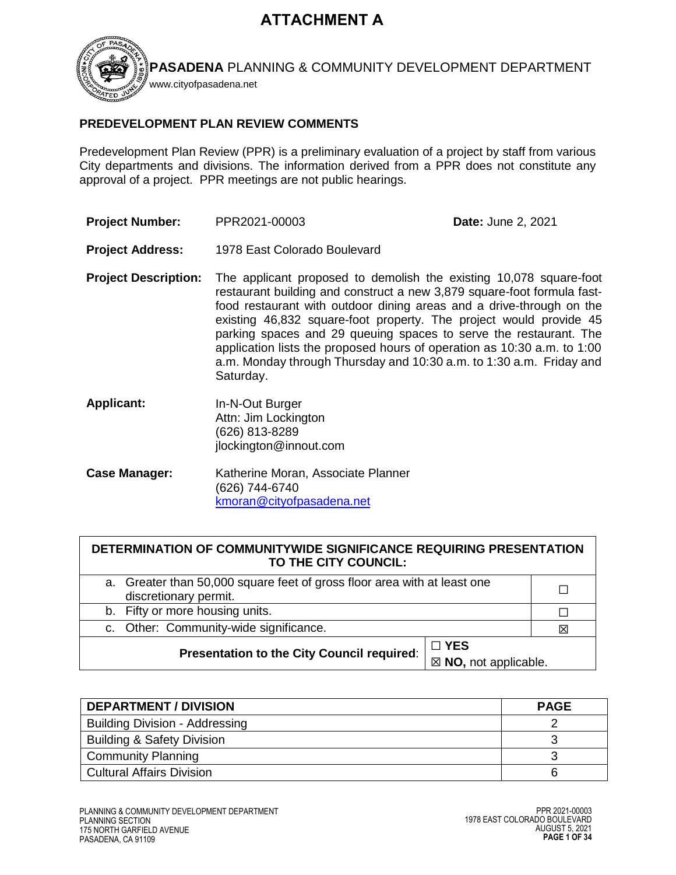# **ATTACHMENT A**



**PASADENA** PLANNING & COMMUNITY DEVELOPMENT DEPARTMENT

# **PREDEVELOPMENT PLAN REVIEW COMMENTS**

Predevelopment Plan Review (PPR) is a preliminary evaluation of a project by staff from various City departments and divisions. The information derived from a PPR does not constitute any approval of a project. PPR meetings are not public hearings.

- **Project Number:** PPR2021-00003 **Date:** June 2, 2021
- **Project Address:** 1978 East Colorado Boulevard
- **Project Description:** The applicant proposed to demolish the existing 10,078 square-foot restaurant building and construct a new 3,879 square-foot formula fastfood restaurant with outdoor dining areas and a drive-through on the existing 46,832 square-foot property. The project would provide 45 parking spaces and 29 queuing spaces to serve the restaurant. The application lists the proposed hours of operation as 10:30 a.m. to 1:00 a.m. Monday through Thursday and 10:30 a.m. to 1:30 a.m. Friday and Saturday.
- **Applicant:** In-N-Out Burger Attn: Jim Lockington (626) 813-8289 jlockington@innout.com
- **Case Manager:** Katherine Moran, Associate Planner (626) 744-6740 [kmoran@cityofpasadena.net](mailto:kmoran@cityofpasadena.net)

| DETERMINATION OF COMMUNITYWIDE SIGNIFICANCE REQUIRING PRESENTATION |  |  |
|--------------------------------------------------------------------|--|--|
| TO THE CITY COUNCIL:                                               |  |  |

| a. Greater than 50,000 square feet of gross floor area with at least one<br>discretionary permit. |   |
|---------------------------------------------------------------------------------------------------|---|
| b. Fifty or more housing units.                                                                   |   |
| c. Other: Community-wide significance.                                                            | X |
| $\Box$ YES<br>Presentation to the City Council required:                                          |   |
| $\boxtimes$ NO, not applicable.                                                                   |   |

| <b>DEPARTMENT / DIVISION</b>          | <b>PAGE</b> |
|---------------------------------------|-------------|
| <b>Building Division - Addressing</b> |             |
| <b>Building &amp; Safety Division</b> |             |
| <b>Community Planning</b>             |             |
| l Cultural Affairs Division           |             |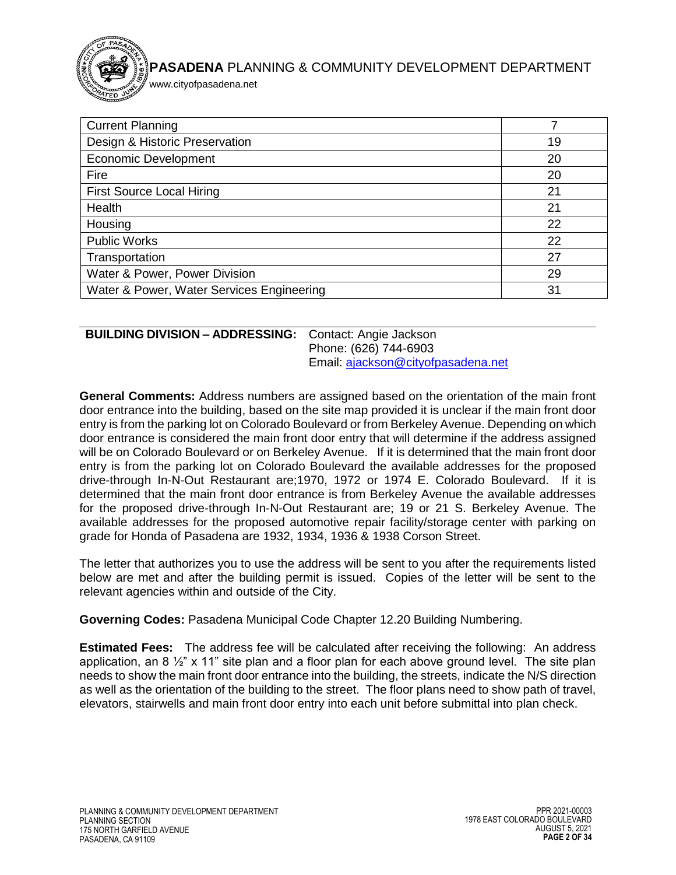

www.cityofpasadena.net

| <b>Current Planning</b>                   |    |
|-------------------------------------------|----|
| Design & Historic Preservation            | 19 |
| <b>Economic Development</b>               | 20 |
| Fire                                      | 20 |
| <b>First Source Local Hiring</b>          | 21 |
| Health                                    | 21 |
| Housing                                   | 22 |
| <b>Public Works</b>                       | 22 |
| Transportation                            | 27 |
| Water & Power, Power Division             | 29 |
| Water & Power, Water Services Engineering | 31 |

## <span id="page-1-0"></span>**BUILDING DIVISION – ADDRESSING:** Contact: Angie Jackson

Phone: (626) 744-6903 Email: [ajackson@cityofpasadena.net](mailto:ajackson@cityofpasadena.net)

**General Comments:** Address numbers are assigned based on the orientation of the main front door entrance into the building, based on the site map provided it is unclear if the main front door entry is from the parking lot on Colorado Boulevard or from Berkeley Avenue. Depending on which door entrance is considered the main front door entry that will determine if the address assigned will be on Colorado Boulevard or on Berkeley Avenue. If it is determined that the main front door entry is from the parking lot on Colorado Boulevard the available addresses for the proposed drive-through In-N-Out Restaurant are;1970, 1972 or 1974 E. Colorado Boulevard. If it is determined that the main front door entrance is from Berkeley Avenue the available addresses for the proposed drive-through In-N-Out Restaurant are; 19 or 21 S. Berkeley Avenue. The available addresses for the proposed automotive repair facility/storage center with parking on grade for Honda of Pasadena are 1932, 1934, 1936 & 1938 Corson Street.

The letter that authorizes you to use the address will be sent to you after the requirements listed below are met and after the building permit is issued. Copies of the letter will be sent to the relevant agencies within and outside of the City.

**Governing Codes:** Pasadena Municipal Code Chapter 12.20 Building Numbering.

**Estimated Fees:** The address fee will be calculated after receiving the following: An address application, an 8  $\frac{1}{2}$ " x 11" site plan and a floor plan for each above ground level. The site plan needs to show the main front door entrance into the building, the streets, indicate the N/S direction as well as the orientation of the building to the street. The floor plans need to show path of travel, elevators, stairwells and main front door entry into each unit before submittal into plan check.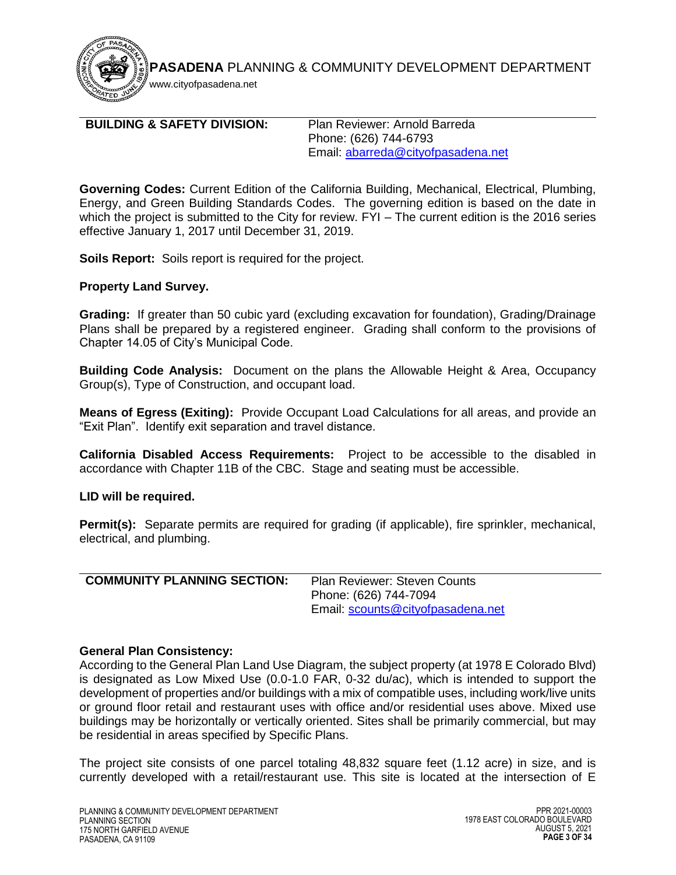

www.cityofpasadena.net

## <span id="page-2-0"></span>**BUILDING & SAFETY DIVISION:** Plan Reviewer: Arnold Barreda

Phone: (626) 744-6793 Email: [abarreda@cityofpasadena.net](mailto:abarreda@cityofpasadena.net)

**Governing Codes:** Current Edition of the California Building, Mechanical, Electrical, Plumbing, Energy, and Green Building Standards Codes. The governing edition is based on the date in which the project is submitted to the City for review. FYI – The current edition is the 2016 series effective January 1, 2017 until December 31, 2019.

**Soils Report:** Soils report is required for the project.

## **Property Land Survey.**

**Grading:** If greater than 50 cubic yard (excluding excavation for foundation), Grading/Drainage Plans shall be prepared by a registered engineer. Grading shall conform to the provisions of Chapter 14.05 of City's Municipal Code.

**Building Code Analysis:** Document on the plans the Allowable Height & Area, Occupancy Group(s), Type of Construction, and occupant load.

**Means of Egress (Exiting):** Provide Occupant Load Calculations for all areas, and provide an "Exit Plan". Identify exit separation and travel distance.

**California Disabled Access Requirements:** Project to be accessible to the disabled in accordance with Chapter 11B of the CBC. Stage and seating must be accessible.

## **LID will be required.**

**Permit(s):** Separate permits are required for grading (if applicable), fire sprinkler, mechanical, electrical, and plumbing.

<span id="page-2-1"></span>

| <b>COMMUNITY PLANNING SECTION:</b> | <b>Plan Reviewer: Steven Counts</b> |
|------------------------------------|-------------------------------------|
|                                    | Phone: (626) 744-7094               |
|                                    | Email: scounts@cityofpasadena.net   |

## **General Plan Consistency:**

According to the General Plan Land Use Diagram, the subject property (at 1978 E Colorado Blvd) is designated as Low Mixed Use (0.0-1.0 FAR, 0-32 du/ac), which is intended to support the development of properties and/or buildings with a mix of compatible uses, including work/live units or ground floor retail and restaurant uses with office and/or residential uses above. Mixed use buildings may be horizontally or vertically oriented. Sites shall be primarily commercial, but may be residential in areas specified by Specific Plans.

The project site consists of one parcel totaling 48,832 square feet (1.12 acre) in size, and is currently developed with a retail/restaurant use. This site is located at the intersection of E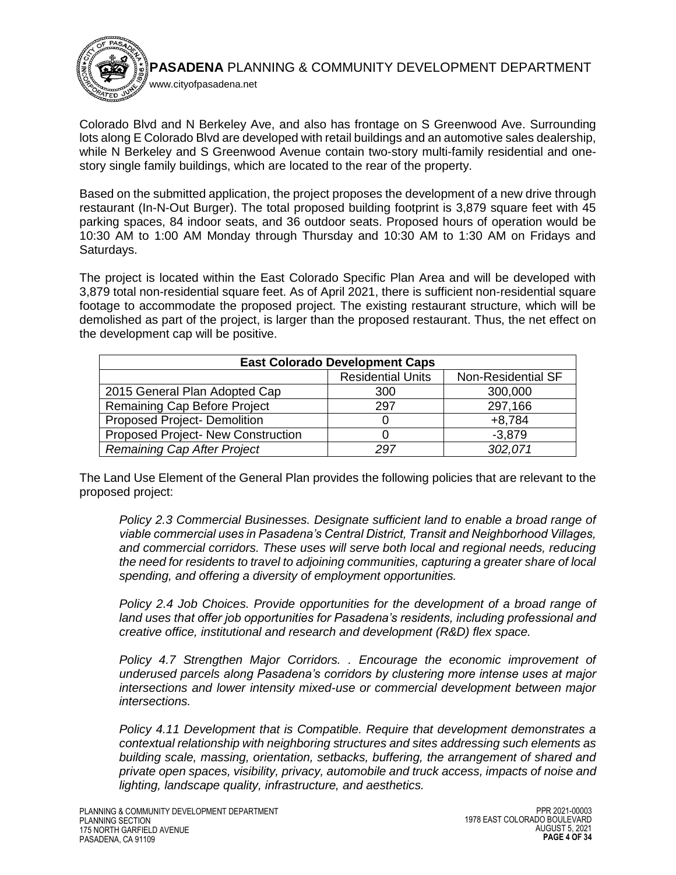

Colorado Blvd and N Berkeley Ave, and also has frontage on S Greenwood Ave. Surrounding lots along E Colorado Blvd are developed with retail buildings and an automotive sales dealership, while N Berkeley and S Greenwood Avenue contain two-story multi-family residential and onestory single family buildings, which are located to the rear of the property.

Based on the submitted application, the project proposes the development of a new drive through restaurant (In-N-Out Burger). The total proposed building footprint is 3,879 square feet with 45 parking spaces, 84 indoor seats, and 36 outdoor seats. Proposed hours of operation would be 10:30 AM to 1:00 AM Monday through Thursday and 10:30 AM to 1:30 AM on Fridays and Saturdays.

The project is located within the East Colorado Specific Plan Area and will be developed with 3,879 total non-residential square feet. As of April 2021, there is sufficient non-residential square footage to accommodate the proposed project. The existing restaurant structure, which will be demolished as part of the project, is larger than the proposed restaurant. Thus, the net effect on the development cap will be positive.

| <b>East Colorado Development Caps</b> |                          |                    |
|---------------------------------------|--------------------------|--------------------|
|                                       | <b>Residential Units</b> | Non-Residential SF |
| 2015 General Plan Adopted Cap         | 300                      | 300,000            |
| Remaining Cap Before Project          | 297                      | 297,166            |
| <b>Proposed Project- Demolition</b>   |                          | $+8,784$           |
| Proposed Project- New Construction    |                          | $-3.879$           |
| <b>Remaining Cap After Project</b>    | 297                      | 302,071            |

The Land Use Element of the General Plan provides the following policies that are relevant to the proposed project:

*Policy 2.3 Commercial Businesses. Designate sufficient land to enable a broad range of viable commercial uses in Pasadena's Central District, Transit and Neighborhood Villages, and commercial corridors. These uses will serve both local and regional needs, reducing the need for residents to travel to adjoining communities, capturing a greater share of local spending, and offering a diversity of employment opportunities.*

*Policy 2.4 Job Choices. Provide opportunities for the development of a broad range of land uses that offer job opportunities for Pasadena's residents, including professional and creative office, institutional and research and development (R&D) flex space.*

*Policy 4.7 Strengthen Major Corridors. . Encourage the economic improvement of underused parcels along Pasadena's corridors by clustering more intense uses at major intersections and lower intensity mixed-use or commercial development between major intersections.*

*Policy 4.11 Development that is Compatible. Require that development demonstrates a contextual relationship with neighboring structures and sites addressing such elements as building scale, massing, orientation, setbacks, buffering, the arrangement of shared and private open spaces, visibility, privacy, automobile and truck access, impacts of noise and lighting, landscape quality, infrastructure, and aesthetics.*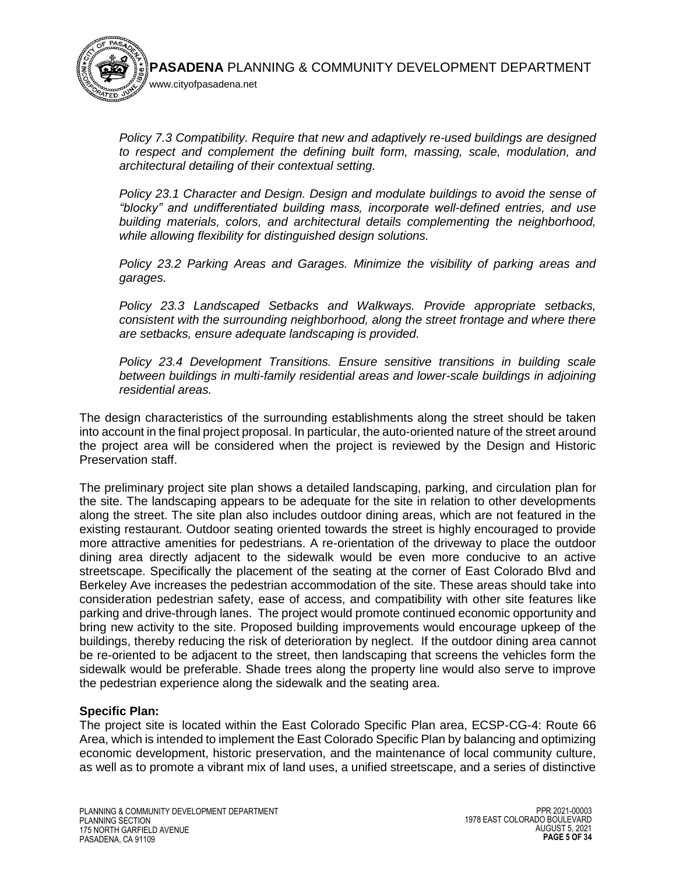

*Policy 7.3 Compatibility. Require that new and adaptively re-used buildings are designed to respect and complement the defining built form, massing, scale, modulation, and architectural detailing of their contextual setting.*

*Policy 23.1 Character and Design. Design and modulate buildings to avoid the sense of "blocky" and undifferentiated building mass, incorporate well-defined entries, and use building materials, colors, and architectural details complementing the neighborhood, while allowing flexibility for distinguished design solutions.*

*Policy 23.2 Parking Areas and Garages. Minimize the visibility of parking areas and garages.*

*Policy 23.3 Landscaped Setbacks and Walkways. Provide appropriate setbacks, consistent with the surrounding neighborhood, along the street frontage and where there are setbacks, ensure adequate landscaping is provided.*

*Policy 23.4 Development Transitions. Ensure sensitive transitions in building scale between buildings in multi-family residential areas and lower-scale buildings in adjoining residential areas.*

The design characteristics of the surrounding establishments along the street should be taken into account in the final project proposal. In particular, the auto-oriented nature of the street around the project area will be considered when the project is reviewed by the Design and Historic Preservation staff.

The preliminary project site plan shows a detailed landscaping, parking, and circulation plan for the site. The landscaping appears to be adequate for the site in relation to other developments along the street. The site plan also includes outdoor dining areas, which are not featured in the existing restaurant. Outdoor seating oriented towards the street is highly encouraged to provide more attractive amenities for pedestrians. A re-orientation of the driveway to place the outdoor dining area directly adjacent to the sidewalk would be even more conducive to an active streetscape. Specifically the placement of the seating at the corner of East Colorado Blvd and Berkeley Ave increases the pedestrian accommodation of the site. These areas should take into consideration pedestrian safety, ease of access, and compatibility with other site features like parking and drive-through lanes. The project would promote continued economic opportunity and bring new activity to the site. Proposed building improvements would encourage upkeep of the buildings, thereby reducing the risk of deterioration by neglect. If the outdoor dining area cannot be re-oriented to be adjacent to the street, then landscaping that screens the vehicles form the sidewalk would be preferable. Shade trees along the property line would also serve to improve the pedestrian experience along the sidewalk and the seating area.

# **Specific Plan:**

The project site is located within the East Colorado Specific Plan area, ECSP-CG-4: Route 66 Area, which is intended to implement the East Colorado Specific Plan by balancing and optimizing economic development, historic preservation, and the maintenance of local community culture, as well as to promote a vibrant mix of land uses, a unified streetscape, and a series of distinctive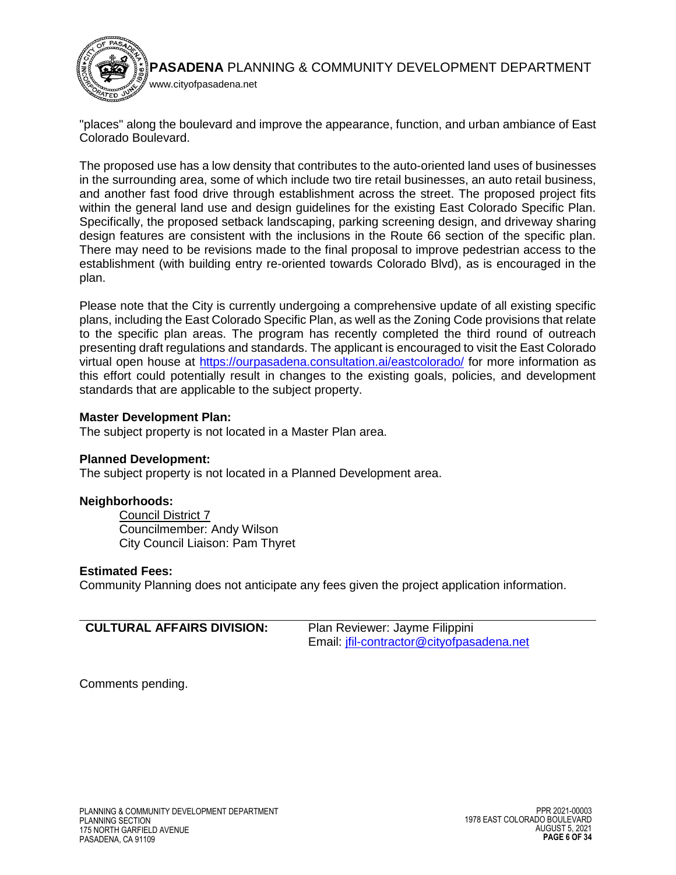

"places" along the boulevard and improve the appearance, function, and urban ambiance of East Colorado Boulevard.

The proposed use has a low density that contributes to the auto-oriented land uses of businesses in the surrounding area, some of which include two tire retail businesses, an auto retail business, and another fast food drive through establishment across the street. The proposed project fits within the general land use and design guidelines for the existing East Colorado Specific Plan. Specifically, the proposed setback landscaping, parking screening design, and driveway sharing design features are consistent with the inclusions in the Route 66 section of the specific plan. There may need to be revisions made to the final proposal to improve pedestrian access to the establishment (with building entry re-oriented towards Colorado Blvd), as is encouraged in the plan.

Please note that the City is currently undergoing a comprehensive update of all existing specific plans, including the East Colorado Specific Plan, as well as the Zoning Code provisions that relate to the specific plan areas. The program has recently completed the third round of outreach presenting draft regulations and standards. The applicant is encouraged to visit the East Colorado virtual open house at<https://ourpasadena.consultation.ai/eastcolorado/> for more information as this effort could potentially result in changes to the existing goals, policies, and development standards that are applicable to the subject property.

## **Master Development Plan:**

The subject property is not located in a Master Plan area.

#### **Planned Development:**

The subject property is not located in a Planned Development area.

## **Neighborhoods:**

Council District 7 Councilmember: Andy Wilson City Council Liaison: Pam Thyret

#### **Estimated Fees:**

Community Planning does not anticipate any fees given the project application information.

<span id="page-5-0"></span>

| <b>CULTURAL AFFAIRS DIVISION:</b> | Plan Reviewer: Jayme Filippini            |
|-----------------------------------|-------------------------------------------|
|                                   | Email: jfil-contractor@cityofpasadena.net |

Comments pending.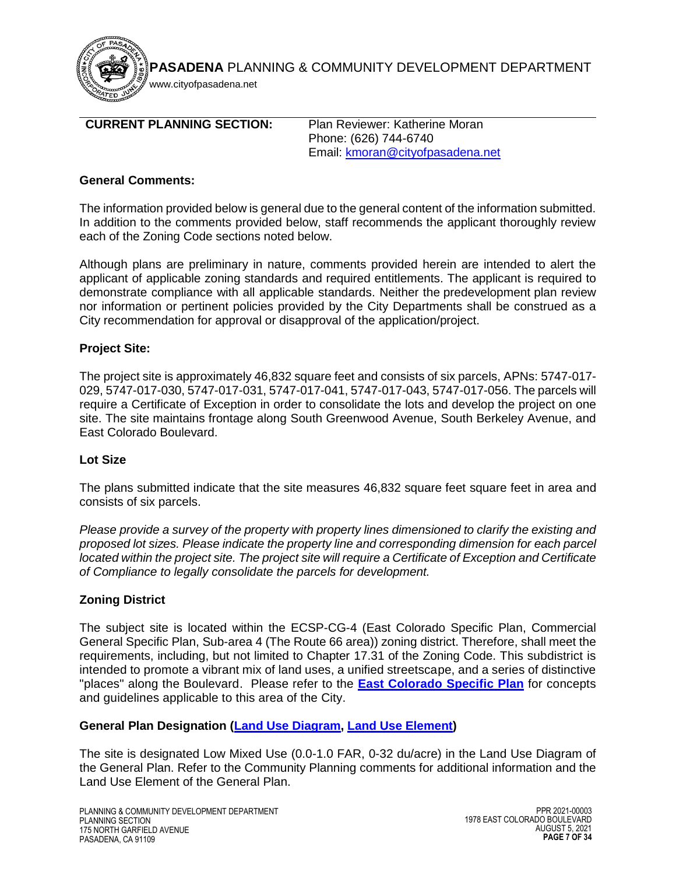

# <span id="page-6-0"></span>**CURRENT PLANNING SECTION:** Plan Reviewer: Katherine Moran

Phone: (626) 744-6740 Email: [kmoran@cityofpasadena.net](mailto:kmoran@cityofpasadena.net)

## **General Comments:**

The information provided below is general due to the general content of the information submitted. In addition to the comments provided below, staff recommends the applicant thoroughly review each of the Zoning Code sections noted below.

Although plans are preliminary in nature, comments provided herein are intended to alert the applicant of applicable zoning standards and required entitlements. The applicant is required to demonstrate compliance with all applicable standards. Neither the predevelopment plan review nor information or pertinent policies provided by the City Departments shall be construed as a City recommendation for approval or disapproval of the application/project.

## **Project Site:**

The project site is approximately 46,832 square feet and consists of six parcels, APNs: 5747-017- 029, 5747-017-030, 5747-017-031, 5747-017-041, 5747-017-043, 5747-017-056. The parcels will require a Certificate of Exception in order to consolidate the lots and develop the project on one site. The site maintains frontage along South Greenwood Avenue, South Berkeley Avenue, and East Colorado Boulevard.

## **Lot Size**

The plans submitted indicate that the site measures 46,832 square feet square feet in area and consists of six parcels.

*Please provide a survey of the property with property lines dimensioned to clarify the existing and proposed lot sizes. Please indicate the property line and corresponding dimension for each parcel located within the project site. The project site will require a Certificate of Exception and Certificate of Compliance to legally consolidate the parcels for development.*

# **Zoning District**

The subject site is located within the ECSP-CG-4 (East Colorado Specific Plan, Commercial General Specific Plan, Sub-area 4 (The Route 66 area)) zoning district. Therefore, shall meet the requirements, including, but not limited to Chapter 17.31 of the Zoning Code. This subdistrict is intended to promote a vibrant mix of land uses, a unified streetscape, and a series of distinctive "places" along the Boulevard. Please refer to the **[East Colorado](https://www.cityofpasadena.net/planning/planning-division/community-planning/specific-plans/central-district/) Specific Plan** for concepts and guidelines applicable to this area of the City.

## **General Plan Designation [\(Land Use Diagram,](https://ww5.cityofpasadena.net/planning/wp-content/uploads/sites/56/2018/03/Land-Use-Diagram_2016-11-14.pdf) [Land Use Element\)](https://ww5.cityofpasadena.net/planning/wp-content/uploads/sites/56/2017/07/Land-Use-Element-2016-01-25.pdf)**

The site is designated Low Mixed Use (0.0-1.0 FAR, 0-32 du/acre) in the Land Use Diagram of the General Plan. Refer to the Community Planning comments for additional information and the Land Use Element of the General Plan.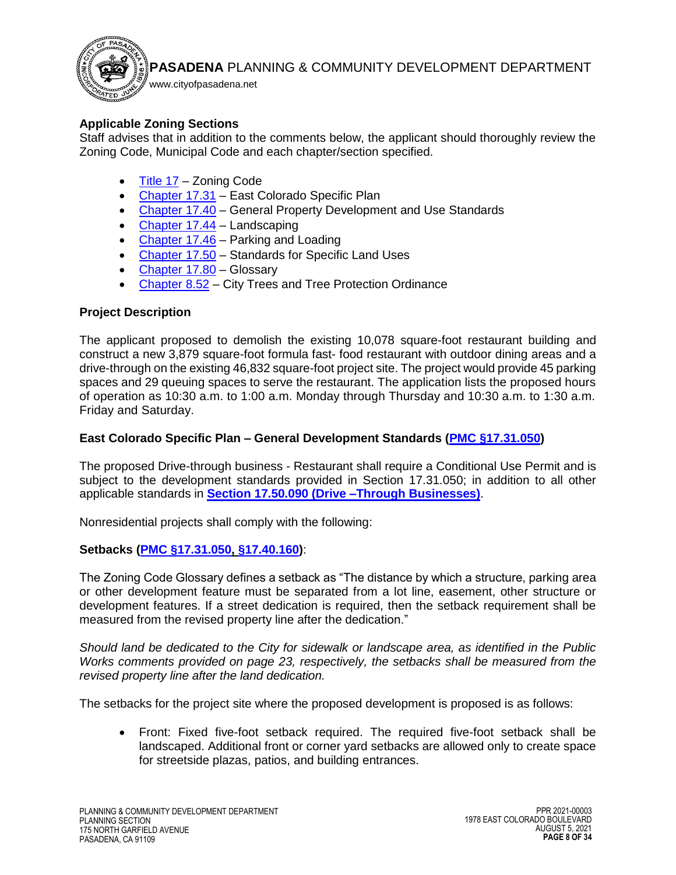

# **Applicable Zoning Sections**

Staff advises that in addition to the comments below, the applicant should thoroughly review the Zoning Code, Municipal Code and each chapter/section specified.

- [Title 17](https://library.municode.com/ca/pasadena/codes/code_of_ordinances?nodeId=TIT17_ZONING_CODE) Zoning Code
- [Chapter 17.31](https://library.municode.com/ca/pasadena/codes/code_of_ordinances?nodeId=TIT17_ZONING_CODE_ART3SPPLST_CH17.30CEDISPPL) East Colorado Specific Plan
- [Chapter 17.40](https://library.municode.com/ca/pasadena/codes/code_of_ordinances?nodeId=TIT17_ZONING_CODE_ART4SIPLGEDEST_CH17.40GEPRDEUSST) General Property Development and Use Standards
- $\bullet$  [Chapter 17.44](https://library.municode.com/ca/pasadena/codes/code_of_ordinances?nodeId=TIT17_ZONING_CODE_ART4SIPLGEDEST_CH17.44LA) Landscaping
- Chapter  $17.46$  Parking and Loading
- [Chapter 17.50](https://library.municode.com/ca/pasadena/codes/code_of_ordinances?nodeId=TIT17_ZONING_CODE_ART5STSPLAUS_CH17.50STSPLAUS) Standards for Specific Land Uses
- [Chapter 17.80](https://library.municode.com/ca/pasadena/codes/code_of_ordinances?nodeId=TIT17_ZONING_CODE_ART8GLSPTELAUSTY_CH17.80GLSPTELAUSTY) Glossary
- [Chapter 8.52](https://library.municode.com/ca/pasadena/codes/code_of_ordinances?nodeId=TIT8HESA_CH8.52CITRTRPROR) City Trees and Tree Protection Ordinance

# **Project Description**

The applicant proposed to demolish the existing 10,078 square-foot restaurant building and construct a new 3,879 square-foot formula fast- food restaurant with outdoor dining areas and a drive-through on the existing 46,832 square-foot project site. The project would provide 45 parking spaces and 29 queuing spaces to serve the restaurant. The application lists the proposed hours of operation as 10:30 a.m. to 1:00 a.m. Monday through Thursday and 10:30 a.m. to 1:30 a.m. Friday and Saturday.

# **East Colorado Specific Plan – General Development Standards (PMC [§17.31.050\)](https://library.municode.com/ca/pasadena/codes/code_of_ordinances?nodeId=TIT17_ZONING_CODE_ART3SPPLST_CH17.31EACOSPPL_17.31.050ECGEDEST)**

The proposed Drive-through business - Restaurant shall require a Conditional Use Permit and is subject to the development standards provided in Section 17.31.050; in addition to all other applicable standards in **Section 17.50.090 [\(Drive –Through Businesses\)](https://library.municode.com/ca/pasadena/codes/code_of_ordinances?nodeId=TIT17_ZONING_CODE_ART5STSPLAUS_CH17.50STSPLAUS_17.50.090DRROBU)**.

Nonresidential projects shall comply with the following:

# **Setbacks [\(PMC §17.31.050,](https://library.municode.com/ca/pasadena/codes/code_of_ordinances?nodeId=TIT17_ZONING_CODE_ART3SPPLST_CH17.31EACOSPPL_17.31.050ECGEDEST) [§17.40.160\)](https://library.municode.com/ca/pasadena/codes/code_of_ordinances?nodeId=TIT17_ZONING_CODE_ART4SIPLGEDEST_CH17.40GEPRDEUSST_17.40.160SEENPLREEX)**:

The Zoning Code Glossary defines a setback as "The distance by which a structure, parking area or other development feature must be separated from a lot line, easement, other structure or development features. If a street dedication is required, then the setback requirement shall be measured from the revised property line after the dedication."

*Should land be dedicated to the City for sidewalk or landscape area, as identified in the Public Works comments provided on page 23, respectively, the setbacks shall be measured from the revised property line after the land dedication.*

The setbacks for the project site where the proposed development is proposed is as follows:

 Front: Fixed five-foot setback required. The required five-foot setback shall be landscaped. Additional front or corner yard setbacks are allowed only to create space for streetside plazas, patios, and building entrances.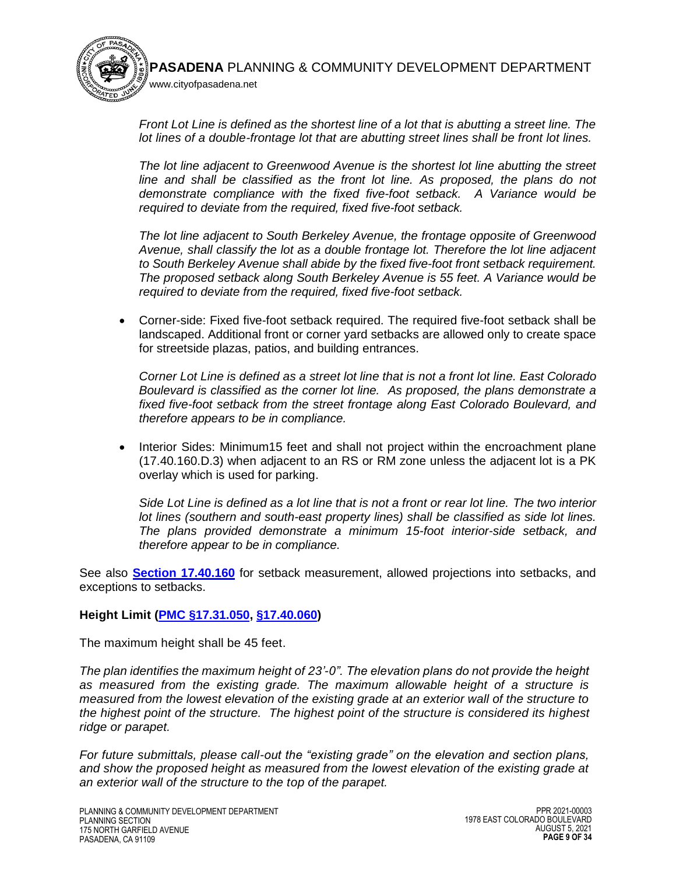www.cityofpasadena.net

*Front Lot Line is defined as the shortest line of a lot that is abutting a street line. The lot lines of a double-frontage lot that are abutting street lines shall be front lot lines.*

*The lot line adjacent to Greenwood Avenue is the shortest lot line abutting the street line and shall be classified as the front lot line. As proposed, the plans do not demonstrate compliance with the fixed five-foot setback. A Variance would be required to deviate from the required, fixed five-foot setback.*

*The lot line adjacent to South Berkeley Avenue, the frontage opposite of Greenwood Avenue, shall classify the lot as a double frontage lot. Therefore the lot line adjacent to South Berkeley Avenue shall abide by the fixed five-foot front setback requirement. The proposed setback along South Berkeley Avenue is 55 feet. A Variance would be required to deviate from the required, fixed five-foot setback.*

 Corner-side: Fixed five-foot setback required. The required five-foot setback shall be landscaped. Additional front or corner yard setbacks are allowed only to create space for streetside plazas, patios, and building entrances.

*Corner Lot Line is defined as a street lot line that is not a front lot line. East Colorado Boulevard is classified as the corner lot line. As proposed, the plans demonstrate a fixed five-foot setback from the street frontage along East Colorado Boulevard, and therefore appears to be in compliance.* 

• Interior Sides: Minimum15 feet and shall not project within the encroachment plane (17.40.160.D.3) when adjacent to an RS or RM zone unless the adjacent lot is a PK overlay which is used for parking.

*Side Lot Line is defined as a lot line that is not a front or rear lot line. The two interior lot lines (southern and south-east property lines) shall be classified as side lot lines. The plans provided demonstrate a minimum 15-foot interior-side setback, and therefore appear to be in compliance.* 

See also **[Section 17.40.160](https://library.municode.com/ca/pasadena/codes/code_of_ordinances?nodeId=TIT17_ZONING_CODE_ART4SIPLGEDEST_CH17.40GEPRDEUSST_17.40.160SEENPLREEX)** for setback measurement, allowed projections into setbacks, and exceptions to setbacks.

# **Height Limit [\(PMC §17.31.050,](https://library.municode.com/ca/pasadena/codes/code_of_ordinances?nodeId=TIT17_ZONING_CODE_ART3SPPLST_CH17.31EACOSPPL_17.31.050ECGEDEST) [§17.40.060\)](https://library.municode.com/ca/pasadena/codes/code_of_ordinances?nodeId=TIT17_ZONING_CODE_ART4SIPLGEDEST_CH17.40GEPRDEUSST_17.40.060HEREEX)**

The maximum height shall be 45 feet.

*The plan identifies the maximum height of 23'-0". The elevation plans do not provide the height as measured from the existing grade. The maximum allowable height of a structure is measured from the lowest elevation of the existing grade at an exterior wall of the structure to the highest point of the structure. The highest point of the structure is considered its highest ridge or parapet.* 

*For future submittals, please call-out the "existing grade" on the elevation and section plans, and show the proposed height as measured from the lowest elevation of the existing grade at an exterior wall of the structure to the top of the parapet.*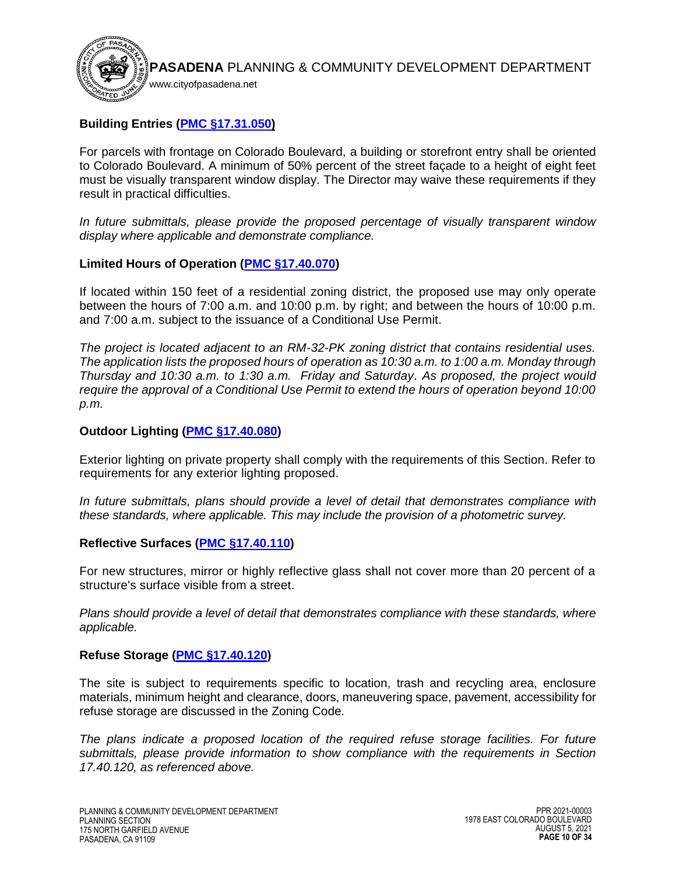

# **Building Entries [\(PMC §17.31.050\)](https://library.municode.com/ca/pasadena/codes/code_of_ordinances?nodeId=TIT17_ZONING_CODE_ART3SPPLST_CH17.31EACOSPPL_17.31.050ECGEDEST)**

For parcels with frontage on Colorado Boulevard, a building or storefront entry shall be oriented to Colorado Boulevard. A minimum of 50% percent of the street façade to a height of eight feet must be visually transparent window display. The Director may waive these requirements if they result in practical difficulties.

*In future submittals, please provide the proposed percentage of visually transparent window display where applicable and demonstrate compliance.*

## **Limited Hours of Operation [\(PMC §17.40.070\)](https://library.municode.com/ca/pasadena/codes/code_of_ordinances?nodeId=TIT17_ZONING_CODE_ART4SIPLGEDEST_CH17.40GEPRDEUSST_17.40.070LIHOOP)**

If located within 150 feet of a residential zoning district, the proposed use may only operate between the hours of 7:00 a.m. and 10:00 p.m. by right; and between the hours of 10:00 p.m. and 7:00 a.m. subject to the issuance of a Conditional Use Permit.

*The project is located adjacent to an RM-32-PK zoning district that contains residential uses. The application lists the proposed hours of operation as 10:30 a.m. to 1:00 a.m. Monday through Thursday and 10:30 a.m. to 1:30 a.m. Friday and Saturday. As proposed, the project would require the approval of a Conditional Use Permit to extend the hours of operation beyond 10:00 p.m.*

#### **Outdoor Lighting [\(PMC §17.40.080\)](https://library.municode.com/ca/pasadena/codes/code_of_ordinances?nodeId=TIT17_ZONING_CODE_ART4SIPLGEDEST_CH17.40GEPRDEUSST_17.40.080OULI)**

Exterior lighting on private property shall comply with the requirements of this Section. Refer to requirements for any exterior lighting proposed.

*In future submittals, plans should provide a level of detail that demonstrates compliance with these standards, where applicable. This may include the provision of a photometric survey.* 

#### **Reflective Surfaces [\(PMC §17.40.110\)](https://library.municode.com/ca/pasadena/codes/code_of_ordinances?nodeId=TIT17_ZONING_CODE_ART4SIPLGEDEST_CH17.40GEPRDEUSST_17.40.110RESU)**

For new structures, mirror or highly reflective glass shall not cover more than 20 percent of a structure's surface visible from a street.

*Plans should provide a level of detail that demonstrates compliance with these standards, where applicable.*

## **Refuse Storage [\(PMC §17.40.120\)](https://library.municode.com/ca/pasadena/codes/code_of_ordinances?nodeId=TIT17_ZONING_CODE_ART4SIPLGEDEST_CH17.40GEPRDEUSST_17.40.120RESTFA)**

The site is subject to requirements specific to location, trash and recycling area, enclosure materials, minimum height and clearance, doors, maneuvering space, pavement, accessibility for refuse storage are discussed in the Zoning Code.

*The plans indicate a proposed location of the required refuse storage facilities. For future submittals, please provide information to show compliance with the requirements in Section 17.40.120, as referenced above.*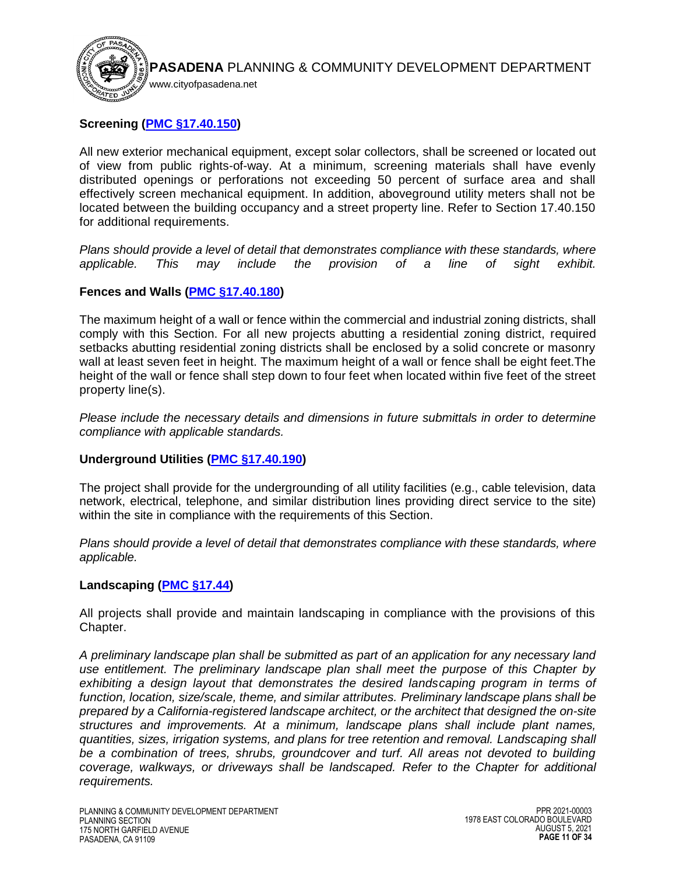

# **Screening [\(PMC §17.40.150\)](https://library.municode.com/ca/pasadena/codes/code_of_ordinances?nodeId=TIT17_ZONING_CODE_ART4SIPLGEDEST_CH17.40GEPRDEUSST_17.40.150SC)**

All new exterior mechanical equipment, except solar collectors, shall be screened or located out of view from public rights-of-way. At a minimum, screening materials shall have evenly distributed openings or perforations not exceeding 50 percent of surface area and shall effectively screen mechanical equipment. In addition, aboveground utility meters shall not be located between the building occupancy and a street property line. Refer to Section 17.40.150 for additional requirements.

*Plans should provide a level of detail that demonstrates compliance with these standards, where applicable. This may include the provision of a line of sight exhibit.* 

## **Fences and Walls [\(PMC §17.40.180\)](https://library.municode.com/ca/pasadena/codes/code_of_ordinances?nodeId=TIT17_ZONING_CODE_ART4SIPLGEDEST_CH17.40GEPRDEUSST_17.40.180WAFE)**

The maximum height of a wall or fence within the commercial and industrial zoning districts, shall comply with this Section. For all new projects abutting a residential zoning district, required setbacks abutting residential zoning districts shall be enclosed by a solid concrete or masonry wall at least seven feet in height. The maximum height of a wall or fence shall be eight feet.The height of the wall or fence shall step down to four feet when located within five feet of the street property line(s).

*Please include the necessary details and dimensions in future submittals in order to determine compliance with applicable standards.*

## **Underground Utilities [\(PMC §17.40.190\)](https://library.municode.com/ca/pasadena/codes/code_of_ordinances?nodeId=TIT17_ZONING_CODE_ART4SIPLGEDEST_CH17.40GEPRDEUSST_17.40.190UNUT)**

The project shall provide for the undergrounding of all utility facilities (e.g., cable television, data network, electrical, telephone, and similar distribution lines providing direct service to the site) within the site in compliance with the requirements of this Section.

*Plans should provide a level of detail that demonstrates compliance with these standards, where applicable.*

## **Landscaping [\(PMC §17.44\)](https://library.municode.com/ca/pasadena/codes/code_of_ordinances?nodeId=TIT17_ZONING_CODE_ART4SIPLGEDEST_CH17.44LA)**

All projects shall provide and maintain landscaping in compliance with the provisions of this Chapter.

*A preliminary landscape plan shall be submitted as part of an application for any necessary land [use](http://ww2.cityofpasadena.net/zoning/P-8.html#USE) entitlement. The preliminary landscape plan shall meet the purpose of this Chapter by exhibiting a design layout that demonstrates the desired landscaping program in terms of function, location, size/scale, theme, and similar attributes. Preliminary landscape plans shall be prepared by a California-registered landscape architect, or the architect that designed the [on-site](http://ww2.cityofpasadena.net/zoning/P-8.html#ONSITE) [structures](http://ww2.cityofpasadena.net/zoning/P-8.html#STRUCTURE) and improvements. At a minimum, landscape plans shall include plant names, quantities, sizes, irrigation systems, and plans for tree retention and removal. Landscaping shall be a combination of trees, shrubs, groundcover and turf. All areas not devoted to building coverage, walkways, or driveways shall be landscaped. Refer to the Chapter for additional requirements.*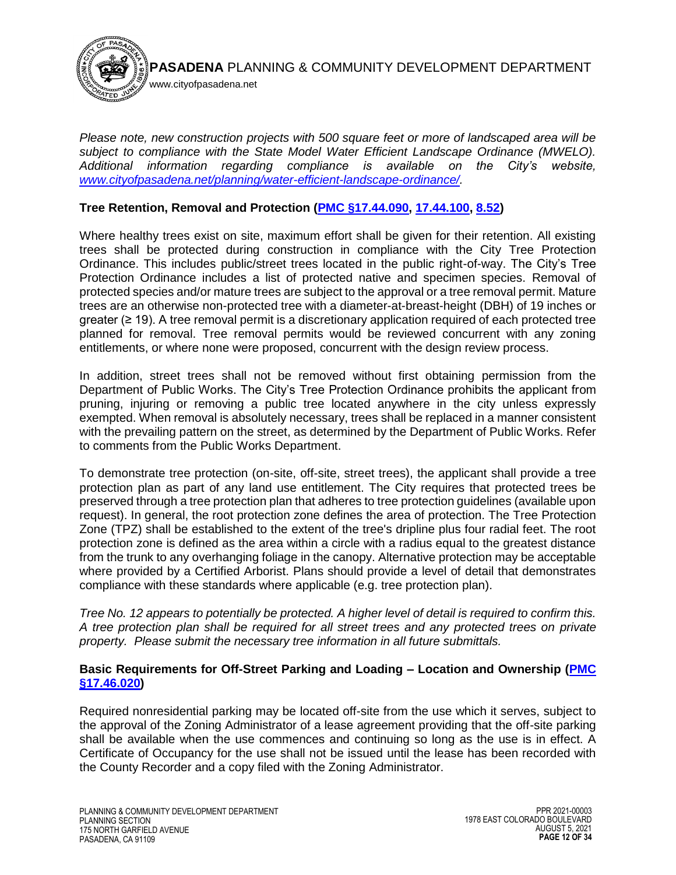

*Please note, new construction projects with 500 square feet or more of landscaped area will be subject to compliance with the State Model Water Efficient Landscape Ordinance (MWELO). Additional information regarding compliance is available on the City's website, [www.cityofpasadena.net/planning/water-efficient-landscape-ordinance/.](https://ww5.cityofpasadena.net/planning/water-efficient-landscape-ordinance/)* 

## **Tree Retention, Removal and Protection [\(PMC §17.44.090,](https://library.municode.com/ca/pasadena/codes/code_of_ordinances?nodeId=TIT17_ZONING_CODE_ART4SIPLGEDEST_CH17.44LA_17.44.090TRRE) [17.44.100,](https://library.municode.com/ca/pasadena/codes/code_of_ordinances?nodeId=TIT17_ZONING_CODE_ART4SIPLGEDEST_CH17.44LA_17.44.100STTR) [8.52\)](https://library.municode.com/ca/pasadena/codes/code_of_ordinances?nodeId=TIT8HESA_CH8.52CITRTRPROR)**

Where healthy trees exist on [site,](http://ww2.cityofpasadena.net/zoning/P-8.html#SITE) maximum effort shall be given for their retention. All existing trees shall be protected during construction in compliance with the City Tree Protection Ordinance. This includes public/street trees located in the public right-of-way. The City's Tree Protection Ordinance includes a list of protected native and specimen species. Removal of protected species and/or mature trees are subject to the approval or a tree removal permit. Mature trees are an otherwise non-protected tree with a diameter-at-breast-height (DBH) of 19 inches or greater (≥ 19). A tree removal permit is a discretionary application required of each protected tree planned for removal. Tree removal permits would be reviewed concurrent with any zoning entitlements, or where none were proposed, concurrent with the design review process.

In addition, street trees shall not be removed without first obtaining permission from the [Department](http://ww2.cityofpasadena.net/zoning/P-8.html#DEPARTMENT) of Public Works. The City's Tree Protection Ordinance prohibits the applicant from pruning, injuring or removing a public tree located anywhere in the city unless expressly exempted. When removal is absolutely necessary, trees shall be replaced in a manner consistent with the prevailing pattern on th[e street,](http://ww2.cityofpasadena.net/zoning/P-8.html#STREET) as determined by the [Department](http://ww2.cityofpasadena.net/zoning/P-8.html#DEPARTMENT) of Public Works. Refer to comments from the Public Works Department.

To demonstrate tree protection (on-site, off-site, street trees), the applicant shall provide a tree protection plan as part of any land use entitlement. The City requires that protected trees be preserved through a tree protection plan that adheres to tree protection guidelines (available upon request). In general, the root protection zone defines the area of protection. The Tree Protection Zone (TPZ) shall be established to the extent of the tree's dripline plus four radial feet. The root protection zone is defined as the area within a circle with a radius equal to the greatest distance from the trunk to any overhanging foliage in the canopy. Alternative protection may be acceptable where provided by a Certified Arborist. Plans should provide a level of detail that demonstrates compliance with these standards where applicable (e.g. tree protection plan).

*Tree No. 12 appears to potentially be protected. A higher level of detail is required to confirm this. A tree protection plan shall be required for all street trees and any protected trees on private property. Please submit the necessary tree information in all future submittals.*

#### **Basic Requirements for Off-Street Parking and Loading – Location and Ownership [\(PMC](https://library.municode.com/ca/pasadena/codes/code_of_ordinances?nodeId=TIT17_ZONING_CODE_ART4SIPLGEDEST_CH17.46PALO_17.46.020BAREOREPALO)  [§17.46.020\)](https://library.municode.com/ca/pasadena/codes/code_of_ordinances?nodeId=TIT17_ZONING_CODE_ART4SIPLGEDEST_CH17.46PALO_17.46.020BAREOREPALO)**

Required nonresidential parking may be located off-site from the use which it serves, subject to the approval of the Zoning Administrator of a lease agreement providing that the off-site parking shall be available when the use commences and continuing so long as the use is in effect. A Certificate of Occupancy for the use shall not be issued until the lease has been recorded with the County Recorder and a copy filed with the Zoning Administrator.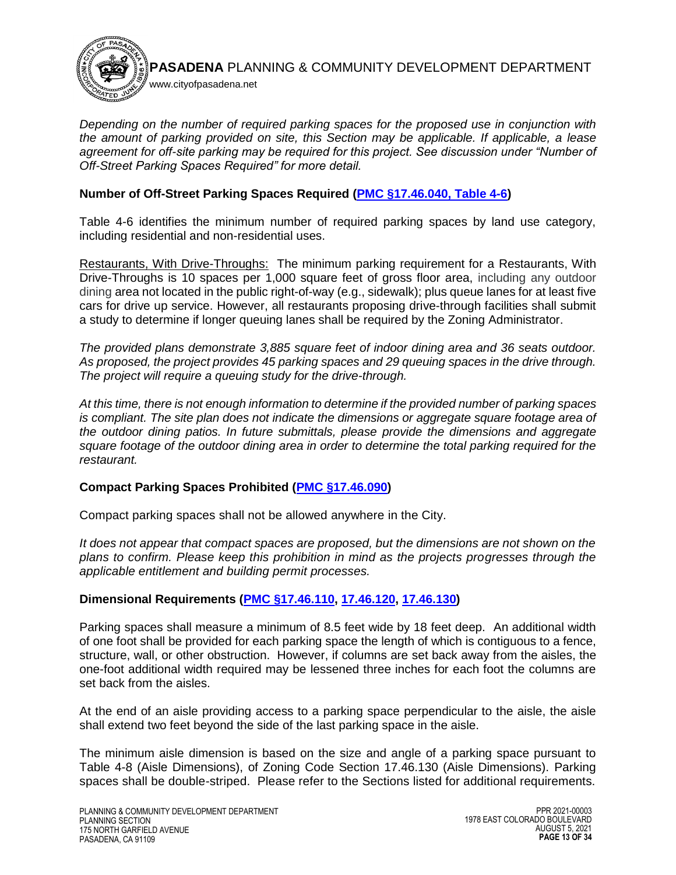

*Depending on the number of required parking spaces for the proposed use in conjunction with the amount of parking provided on site, this Section may be applicable. If applicable, a lease agreement for off-site parking may be required for this project. See discussion under "Number of Off-Street Parking Spaces Required" for more detail.*

# **Number of Off-Street Parking Spaces Required [\(PMC §17.46.040, Table 4-6\)](https://library.municode.com/ca/pasadena/codes/code_of_ordinances?nodeId=TIT17_ZONING_CODE_ART4SIPLGEDEST_CH17.46PALO_17.46.040NUOREPASPRE)**

Table 4-6 identifies the minimum number of required parking spaces by land use category, including residential and non-residential uses.

Restaurants, With Drive-Throughs: The minimum parking requirement for a Restaurants, With Drive-Throughs is 10 spaces per 1,000 square feet of gross floor area, including any outdoor dining area not located in the public right-of-way (e.g., sidewalk); plus queue lanes for at least five cars for drive up service. However, all restaurants proposing drive-through facilities shall submit a study to determine if longer queuing lanes shall be required by the Zoning Administrator.

*The provided plans demonstrate 3,885 square feet of indoor dining area and 36 seats outdoor. As proposed, the project provides 45 parking spaces and 29 queuing spaces in the drive through. The project will require a queuing study for the drive-through.*

*At this time, there is not enough information to determine if the provided number of parking spaces is compliant. The site plan does not indicate the dimensions or aggregate square footage area of the outdoor dining patios. In future submittals, please provide the dimensions and aggregate square footage of the outdoor dining area in order to determine the total parking required for the restaurant.* 

# **Compact Parking Spaces Prohibited [\(PMC §17.46.090\)](https://library.municode.com/ca/pasadena/codes/code_of_ordinances?nodeId=TIT17_ZONING_CODE_ART4SIPLGEDEST_CH17.46PALO_17.46.090COPASPPR)**

Compact parking spaces shall not be allowed anywhere in the City.

*It does not appear that compact spaces are proposed, but the dimensions are not shown on the plans to confirm. Please keep this prohibition in mind as the projects progresses through the applicable entitlement and building permit processes.*

# **Dimensional Requirements [\(PMC §17.46.110,](https://library.municode.com/ca/pasadena/codes/code_of_ordinances?nodeId=TIT17_ZONING_CODE_ART4SIPLGEDEST_CH17.46PALO_17.46.110PASPDI) [17.46.120,](https://library.municode.com/ca/pasadena/codes/code_of_ordinances?nodeId=TIT17_ZONING_CODE_ART4SIPLGEDEST_CH17.46PALO_17.46.120APDIRE) [17.46.130\)](https://library.municode.com/ca/pasadena/codes/code_of_ordinances?nodeId=TIT17_ZONING_CODE_ART4SIPLGEDEST_CH17.46PALO_17.46.130AIDI)**

Parking spaces shall measure a minimum of 8.5 feet wide by 18 feet deep. An additional width of one foot shall be provided for each [parking space](http://ww2.cityofpasadena.net/zoning/P-8.html#PARKINGSPACE) the length of which is contiguous to a fence, [structure,](http://ww2.cityofpasadena.net/zoning/P-8.html#STRUCTURE) wall, or other obstruction. However, if columns are [set back](http://ww2.cityofpasadena.net/zoning/P-8.html#SETBACK) away from the aisles, the one-foot additional width required may be lessened three inches for each foot the columns are [set back](http://ww2.cityofpasadena.net/zoning/P-8.html#SETBACK) from the aisles.

At the end of an aisle providing access to a [parking space](http://ww2.cityofpasadena.net/zoning/P-8.html#PARKINGSPACE) perpendicular to the aisle, the aisle shall extend two feet beyond the side of the last [parking space](http://ww2.cityofpasadena.net/zoning/P-8.html#PARKINGSPACE) in the aisle.

The minimum aisle dimension is based on the size and angle of a parking space pursuant to Table 4-8 (Aisle Dimensions), of Zoning Code Section 17.46.130 (Aisle Dimensions). Parking spaces shall be double-striped. Please refer to the Sections listed for additional requirements.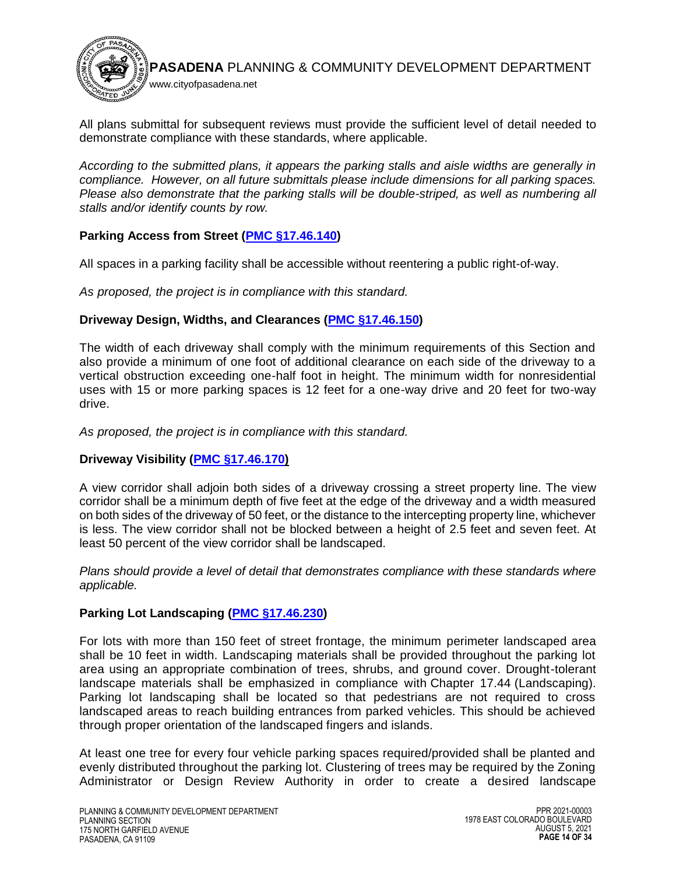

All plans submittal for subsequent reviews must provide the sufficient level of detail needed to demonstrate compliance with these standards, where applicable.

*According to the submitted plans, it appears the parking stalls and aisle widths are generally in compliance. However, on all future submittals please include dimensions for all parking spaces. Please also demonstrate that the parking stalls will be double-striped, as well as numbering all stalls and/or identify counts by row.* 

# **Parking Access from Street [\(PMC §17.46.140\)](https://library.municode.com/ca/pasadena/codes/code_of_ordinances?nodeId=TIT17_ZONING_CODE_ART4SIPLGEDEST_CH17.46PALO_17.46.140PAACST)**

All spaces in a parking facility shall be accessible without reentering a public right-of-way.

*As proposed, the project is in compliance with this standard.*

# **Driveway Design, Widths, and Clearances [\(PMC §17.46.150\)](https://library.municode.com/ca/pasadena/codes/code_of_ordinances?nodeId=TIT17_ZONING_CODE_ART4SIPLGEDEST_CH17.46PALO_17.46.150DRDEWICL)**

The width of each driveway shall comply with the minimum requirements of this Section and also provide a minimum of one foot of additional clearance on each side of the driveway to a vertical obstruction exceeding one-half foot in height. The minimum width for nonresidential uses with 15 or more parking spaces is 12 feet for a one-way drive and 20 feet for two-way drive.

*As proposed, the project is in compliance with this standard.*

# **Driveway Visibility [\(PMC §17.46.170\)](https://library.municode.com/ca/pasadena/codes/code_of_ordinances?nodeId=TIT17_ZONING_CODE_ART4SIPLGEDEST_CH17.46PALO_17.46.170DRVI)**

A view corridor shall adjoin both sides of a driveway crossing a street property line. The view corridor shall be a minimum depth of five feet at the edge of the driveway and a width measured on both sides of the driveway of 50 feet, or the distance to the intercepting property line, whichever is less. The view corridor shall not be blocked between a height of 2.5 feet and seven feet. At least 50 percent of the view corridor shall be landscaped.

*Plans should provide a level of detail that demonstrates compliance with these standards where applicable.* 

# **Parking Lot Landscaping [\(PMC §17.46.230\)](https://library.municode.com/ca/pasadena/codes/code_of_ordinances?nodeId=TIT17_ZONING_CODE_ART4SIPLGEDEST_CH17.46PALO_17.46.230PALOLA)**

For lots with more than 150 feet of street frontage, the minimum perimeter landscaped area shall be 10 feet in width. Landscaping materials shall be provided throughout the parking lot area using an appropriate combination of trees, shrubs, and ground cover. Drought-tolerant landscape materials shall be emphasized in compliance with [Chapter 17.44](https://library.municode.com/ca/pasadena/codes/code_of_ordinances?nodeId=TIT17_ZONING_CODE_ART4SIPLGEDEST_CH17.44LA) (Landscaping). Parking lot landscaping shall be located so that pedestrians are not required to cross landscaped areas to reach building entrances from parked vehicles. This should be achieved through proper orientation of the landscaped fingers and islands.

At least one tree for every four vehicle parking spaces required/provided shall be planted and evenly distributed throughout the parking lot. Clustering of trees may be required by the Zoning Administrator or Design Review Authority in order to create a desired landscape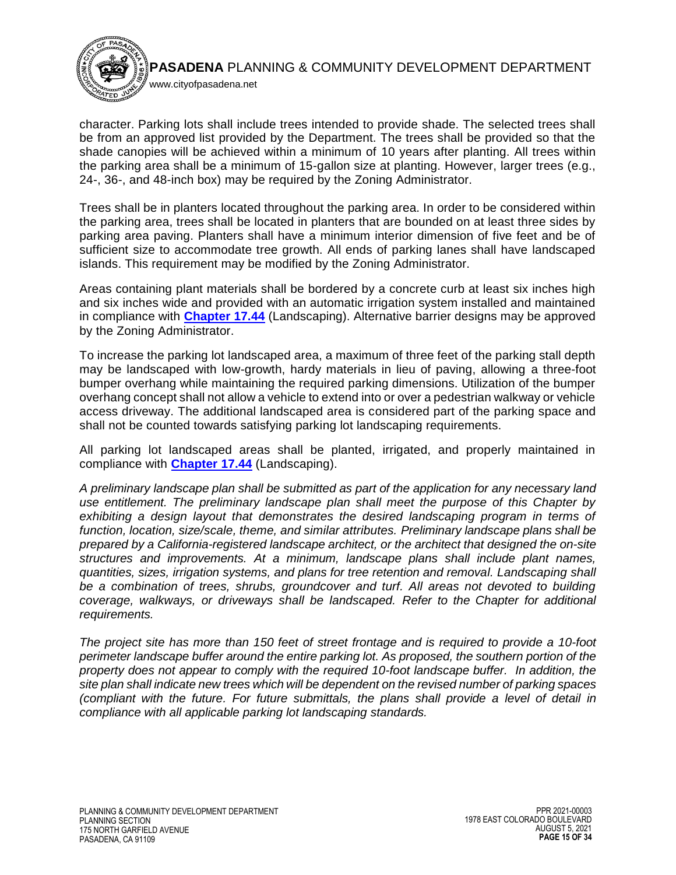

character. Parking lots shall include trees intended to provide shade. The selected trees shall be from an approved list provided by the Department. The trees shall be provided so that the shade canopies will be achieved within a minimum of 10 years after planting. All trees within the parking area shall be a minimum of 15-gallon size at planting. However, larger trees (e.g., 24-, 36-, and 48-inch box) may be required by the Zoning Administrator.

www.cityofpasadena.net

Trees shall be in planters located throughout the parking area. In order to be considered within the parking area, trees shall be located in planters that are bounded on at least three sides by parking area paving. Planters shall have a minimum interior dimension of five feet and be of sufficient size to accommodate tree growth. All ends of parking lanes shall have landscaped islands. This requirement may be modified by the Zoning Administrator.

Areas containing plant materials shall be bordered by a concrete curb at least six inches high and six inches wide and provided with an automatic irrigation system installed and maintained in compliance with **[Chapter 17.44](https://library.municode.com/ca/pasadena/codes/code_of_ordinances?nodeId=TIT17_ZONING_CODE_ART4SIPLGEDEST_CH17.44LA)** (Landscaping). Alternative barrier designs may be approved by the Zoning Administrator.

To increase the parking lot landscaped area, a maximum of three feet of the parking stall depth may be landscaped with low-growth, hardy materials in lieu of paving, allowing a three-foot bumper overhang while maintaining the required parking dimensions. Utilization of the bumper overhang concept shall not allow a vehicle to extend into or over a pedestrian walkway or vehicle access driveway. The additional landscaped area is considered part of the parking space and shall not be counted towards satisfying parking lot landscaping requirements.

All parking lot landscaped areas shall be planted, irrigated, and properly maintained in compliance with **[Chapter 17.44](https://library.municode.com/ca/pasadena/codes/code_of_ordinances?nodeId=TIT17_ZONING_CODE_ART4SIPLGEDEST_CH17.44LA)** (Landscaping).

*A preliminary landscape plan shall be submitted as part of the application for any necessary land [use](http://ww2.cityofpasadena.net/zoning/P-8.html#USE) entitlement. The preliminary landscape plan shall meet the purpose of this Chapter by exhibiting a design layout that demonstrates the desired landscaping program in terms of function, location, size/scale, theme, and similar attributes. Preliminary landscape plans shall be prepared by a California-registered landscape architect, or the architect that designed the [on-site](http://ww2.cityofpasadena.net/zoning/P-8.html#ONSITE) [structures](http://ww2.cityofpasadena.net/zoning/P-8.html#STRUCTURE) and improvements. At a minimum, landscape plans shall include plant names, quantities, sizes, irrigation systems, and plans for tree retention and removal. Landscaping shall be a combination of trees, shrubs, groundcover and turf. All areas not devoted to building coverage, walkways, or driveways shall be landscaped. Refer to the Chapter for additional requirements.* 

*The project site has more than 150 feet of street frontage and is required to provide a 10-foot perimeter landscape buffer around the entire parking lot. As proposed, the southern portion of the property does not appear to comply with the required 10-foot landscape buffer. In addition, the site plan shall indicate new trees which will be dependent on the revised number of parking spaces (compliant with the future. For future submittals, the plans shall provide a level of detail in compliance with all applicable parking lot landscaping standards.*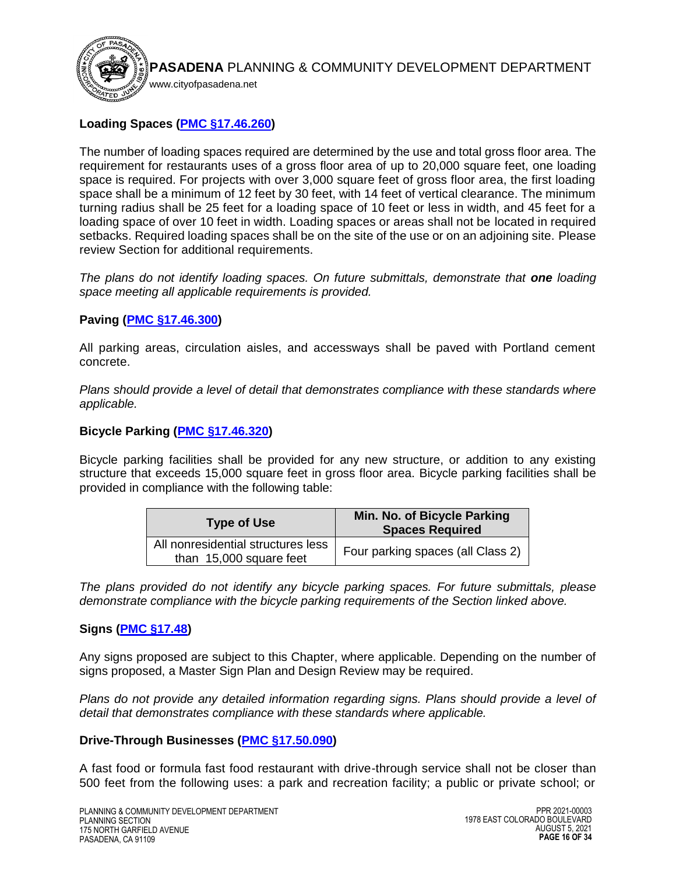

# **Loading Spaces [\(PMC §17.46.260\)](https://library.municode.com/ca/pasadena/codes/code_of_ordinances?nodeId=TIT17_ZONING_CODE_ART4SIPLGEDEST_CH17.46PALO_17.46.260NULODEORELOSP)**

The number of loading spaces required are determined by the use and total gross floor area. The requirement for restaurants uses of a gross floor area of up to 20,000 square feet, one loading space is required. For projects with over 3,000 square feet of gross floor area, the first loading space shall be a minimum of 12 feet by 30 feet, with 14 feet of vertical clearance. The minimum turning radius shall be 25 feet for a loading space of 10 feet or less in width, and 45 feet for a loading space of over 10 feet in width. Loading spaces or areas shall not be located in required setbacks. Required loading spaces shall be on the site of the use or on an adjoining site. Please review Section for additional requirements.

*The plans do not identify loading spaces. On future submittals, demonstrate that one loading space meeting all applicable requirements is provided.*

## **Paving [\(PMC §17.46.300\)](https://library.municode.com/ca/pasadena/codes/code_of_ordinances?nodeId=TIT17_ZONING_CODE_ART4SIPLGEDEST_CH17.46PALO_17.46.300PA)**

All parking areas, circulation aisles, and accessways shall be paved with Portland cement concrete.

*Plans should provide a level of detail that demonstrates compliance with these standards where applicable.* 

## **Bicycle Parking [\(PMC §17.46.320\)](https://library.municode.com/ca/pasadena/codes/code_of_ordinances?nodeId=TIT17_ZONING_CODE_ART4SIPLGEDEST_CH17.46PALO_17.46.320BIPAST)**

Bicycle parking facilities shall be provided for any new structure, or addition to any existing structure that exceeds 15,000 square feet in gross floor area. Bicycle parking facilities shall be provided in compliance with the following table:

| <b>Type of Use</b>                                            | Min. No. of Bicycle Parking<br><b>Spaces Required</b> |
|---------------------------------------------------------------|-------------------------------------------------------|
| All nonresidential structures less<br>than 15,000 square feet | Four parking spaces (all Class 2)                     |

*The plans provided do not identify any bicycle parking spaces. For future submittals, please demonstrate compliance with the bicycle parking requirements of the Section linked above.* 

## **Signs [\(PMC §17.48\)](https://library.municode.com/ca/pasadena/codes/code_of_ordinances?nodeId=TIT17_ZONING_CODE_ART4SIPLGEDEST_CH17.48SI)**

Any signs proposed are subject to this Chapter, where applicable. Depending on the number of signs proposed, a Master Sign Plan and Design Review may be required.

*Plans do not provide any detailed information regarding signs. Plans should provide a level of detail that demonstrates compliance with these standards where applicable.* 

## **Drive-Through Businesses [\(PMC §17.50.090\)](https://library.municode.com/ca/pasadena/codes/code_of_ordinances?nodeId=TIT17_ZONING_CODE_ART5STSPLAUS_CH17.50STSPLAUS_17.50.090DRROBU)**

A fast food or formula fast food restaurant with drive-through service shall not be closer than 500 feet from the following uses: a park and recreation facility; a public or private school; or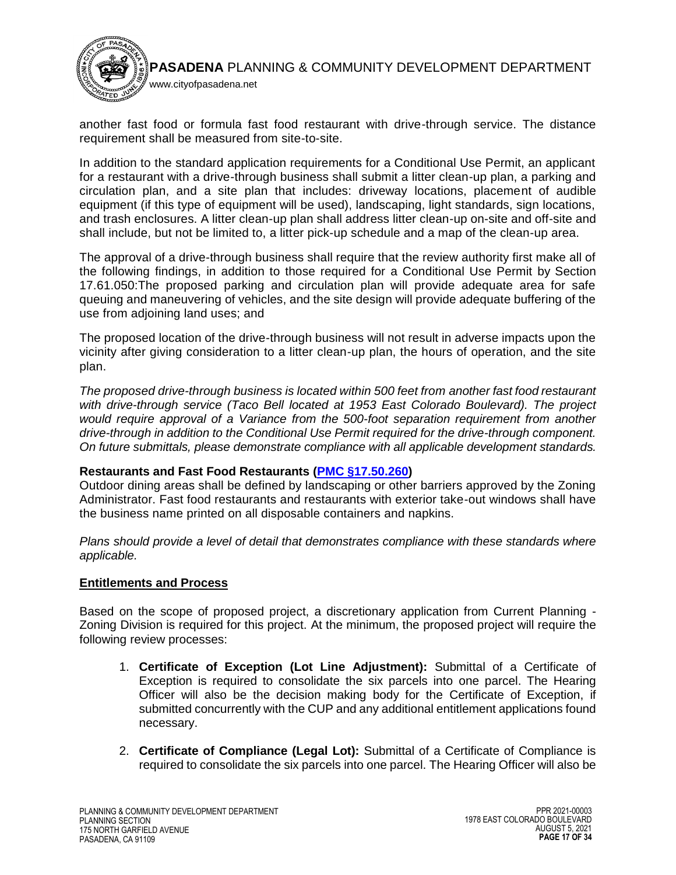

another fast food or formula fast food restaurant with drive-through service. The distance requirement shall be measured from site-to-site.

In addition to the standard application requirements for a Conditional Use Permit, an applicant for a restaurant with a drive-through business shall submit a litter clean-up plan, a parking and circulation plan, and a site plan that includes: driveway locations, placement of audible equipment (if this type of equipment will be used), landscaping, light standards, sign locations, and trash enclosures. A litter clean-up plan shall address litter clean-up on-site and off-site and shall include, but not be limited to, a litter pick-up schedule and a map of the clean-up area.

The approval of a drive-through business shall require that the review authority first make all of the following findings, in addition to those required for a Conditional Use Permit by [Section](https://library.municode.com/ca/pasadena/codes/code_of_ordinances?nodeId=TIT17_ZONING_CODE_ART6LAUSDEPEPR_CH17.61PEAPDI_17.61.050COUSPEMAPL)  [17.61.050:](https://library.municode.com/ca/pasadena/codes/code_of_ordinances?nodeId=TIT17_ZONING_CODE_ART6LAUSDEPEPR_CH17.61PEAPDI_17.61.050COUSPEMAPL)The proposed parking and circulation plan will provide adequate area for safe queuing and maneuvering of vehicles, and the site design will provide adequate buffering of the use from adjoining land uses; and

The proposed location of the drive-through business will not result in adverse impacts upon the vicinity after giving consideration to a litter clean-up plan, the hours of operation, and the site plan.

*The proposed drive-through business is located within 500 feet from another fast food restaurant with drive-through service (Taco Bell located at 1953 East Colorado Boulevard). The project would require approval of a Variance from the 500-foot separation requirement from another drive-through in addition to the Conditional Use Permit required for the drive-through component. On future submittals, please demonstrate compliance with all applicable development standards.*

# **Restaurants and Fast Food Restaurants (PMC [§17.50.260\)](https://library.municode.com/ca/pasadena/codes/code_of_ordinances?nodeId=TIT17_ZONING_CODE_ART5STSPLAUS_CH17.50STSPLAUS_17.50.260REFAFORE)**

Outdoor dining areas shall be defined by landscaping or other barriers approved by the Zoning Administrator. Fast food restaurants and restaurants with exterior take-out windows shall have the business name printed on all disposable containers and napkins.

*Plans should provide a level of detail that demonstrates compliance with these standards where applicable.* 

## **Entitlements and Process**

Based on the scope of proposed project, a discretionary application from Current Planning - Zoning Division is required for this project. At the minimum, the proposed project will require the following review processes:

- 1. **Certificate of Exception (Lot Line Adjustment):** Submittal of a Certificate of Exception is required to consolidate the six parcels into one parcel. The Hearing Officer will also be the decision making body for the Certificate of Exception, if submitted concurrently with the CUP and any additional entitlement applications found necessary.
- 2. **Certificate of Compliance (Legal Lot):** Submittal of a Certificate of Compliance is required to consolidate the six parcels into one parcel. The Hearing Officer will also be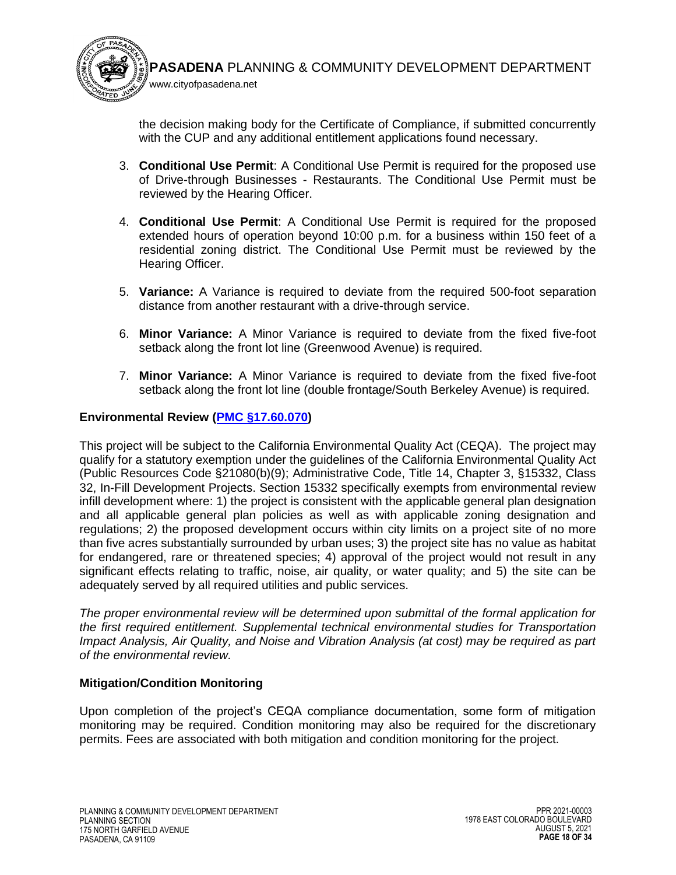

the decision making body for the Certificate of Compliance, if submitted concurrently with the CUP and any additional entitlement applications found necessary.

- 3. **Conditional Use Permit**: A Conditional Use Permit is required for the proposed use of Drive-through Businesses - Restaurants. The Conditional Use Permit must be reviewed by the Hearing Officer.
- 4. **Conditional Use Permit**: A Conditional Use Permit is required for the proposed extended hours of operation beyond 10:00 p.m. for a business within 150 feet of a residential zoning district. The Conditional Use Permit must be reviewed by the Hearing Officer.
- 5. **Variance:** A Variance is required to deviate from the required 500-foot separation distance from another restaurant with a drive-through service.
- 6. **Minor Variance:** A Minor Variance is required to deviate from the fixed five-foot setback along the front lot line (Greenwood Avenue) is required.
- 7. **Minor Variance:** A Minor Variance is required to deviate from the fixed five-foot setback along the front lot line (double frontage/South Berkeley Avenue) is required.

## **Environmental Review [\(PMC §17.60.070\)](https://library.municode.com/ca/pasadena/codes/code_of_ordinances?nodeId=TIT17_ZONING_CODE_ART6LAUSDEPEPR_CH17.60APFIPR_17.60.070ENAS)**

This project will be subject to the California Environmental Quality Act (CEQA). The project may qualify for a statutory exemption under the guidelines of the California Environmental Quality Act (Public Resources Code §21080(b)(9); Administrative Code, Title 14, Chapter 3, §15332, Class 32, In-Fill Development Projects. Section 15332 specifically exempts from environmental review infill development where: 1) the project is consistent with the applicable general plan designation and all applicable general plan policies as well as with applicable zoning designation and regulations; 2) the proposed development occurs within city limits on a project site of no more than five acres substantially surrounded by urban uses; 3) the project site has no value as habitat for endangered, rare or threatened species; 4) approval of the project would not result in any significant effects relating to traffic, noise, air quality, or water quality; and 5) the site can be adequately served by all required utilities and public services.

*The proper environmental review will be determined upon submittal of the formal application for the first required entitlement. Supplemental technical environmental studies for Transportation Impact Analysis, Air Quality, and Noise and Vibration Analysis (at cost) may be required as part of the environmental review.*

## **Mitigation/Condition Monitoring**

Upon completion of the project's CEQA compliance documentation, some form of mitigation monitoring may be required. Condition monitoring may also be required for the discretionary permits. Fees are associated with both mitigation and condition monitoring for the project.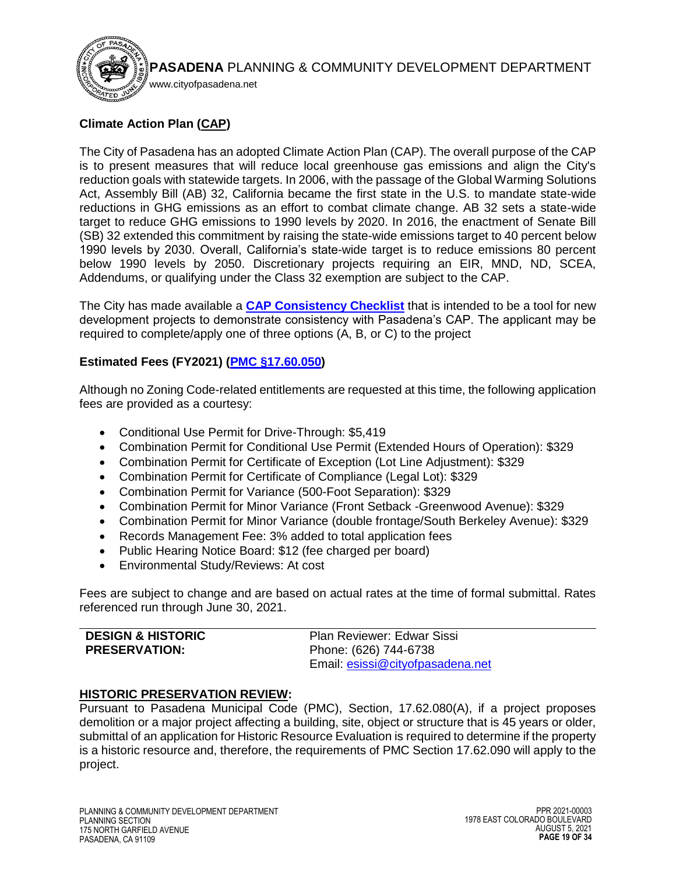

# **Climate Action Plan [\(CAP\)](https://ww5.cityofpasadena.net/planning/wp-content/uploads/sites/56/2018/03/Final-Pasadena-Climate-Action-Plan_3.5.2018.pdf)**

The City of Pasadena has an adopted Climate Action Plan (CAP). The overall purpose of the CAP is to present measures that will reduce local greenhouse gas emissions and align the City's reduction goals with statewide targets. In 2006, with the passage of the Global Warming Solutions Act, Assembly Bill (AB) 32, California became the first state in the U.S. to mandate state-wide reductions in GHG emissions as an effort to combat climate change. AB 32 sets a state-wide target to reduce GHG emissions to 1990 levels by 2020. In 2016, the enactment of Senate Bill (SB) 32 extended this commitment by raising the state-wide emissions target to 40 percent below 1990 levels by 2030. Overall, California's state-wide target is to reduce emissions 80 percent below 1990 levels by 2050. Discretionary projects requiring an EIR, MND, ND, SCEA, Addendums, or qualifying under the Class 32 exemption are subject to the CAP.

The City has made available a **[CAP Consistency Checklist](https://ww5.cityofpasadena.net/planning/wp-content/uploads/sites/56/2017/12/D-CAP-Consistency-Checklist.pdf)** that is intended to be a tool for new development projects to demonstrate consistency with Pasadena's CAP. The applicant may be required to complete/apply one of three options (A, B, or C) to the project

# **Estimated Fees (FY2021) [\(PMC §17.60.050\)](https://library.municode.com/ca/pasadena/codes/code_of_ordinances?nodeId=TIT17_ZONING_CODE_ART6LAUSDEPEPR_CH17.60APFIPR_17.60.050APFE)**

Although no Zoning Code-related entitlements are requested at this time, the following application fees are provided as a courtesy:

- Conditional Use Permit for Drive-Through: \$5,419
- Combination Permit for Conditional Use Permit (Extended Hours of Operation): \$329
- Combination Permit for Certificate of Exception (Lot Line Adjustment): \$329
- Combination Permit for Certificate of Compliance (Legal Lot): \$329
- Combination Permit for Variance (500-Foot Separation): \$329
- Combination Permit for Minor Variance (Front Setback -Greenwood Avenue): \$329
- Combination Permit for Minor Variance (double frontage/South Berkeley Avenue): \$329
- Records Management Fee: 3% added to total application fees
- Public Hearing Notice Board: \$12 (fee charged per board)
- Environmental Study/Reviews: At cost

Fees are subject to change and are based on actual rates at the time of formal submittal. Rates referenced run through June 30, 2021.

#### <span id="page-18-0"></span>**DESIGN & HISTORIC PRESERVATION:**

Plan Reviewer: Edwar Sissi Phone: (626) 744-6738 Email: [esissi@cityofpasadena.net](mailto:esissi@cityofpasadena.net)

# **HISTORIC PRESERVATION REVIEW:**

Pursuant to Pasadena Municipal Code (PMC), Section, 17.62.080(A), if a project proposes demolition or a major project affecting a building, site, object or structure that is 45 years or older, submittal of an application for Historic Resource Evaluation is required to determine if the property is a historic resource and, therefore, the requirements of PMC Section 17.62.090 will apply to the project.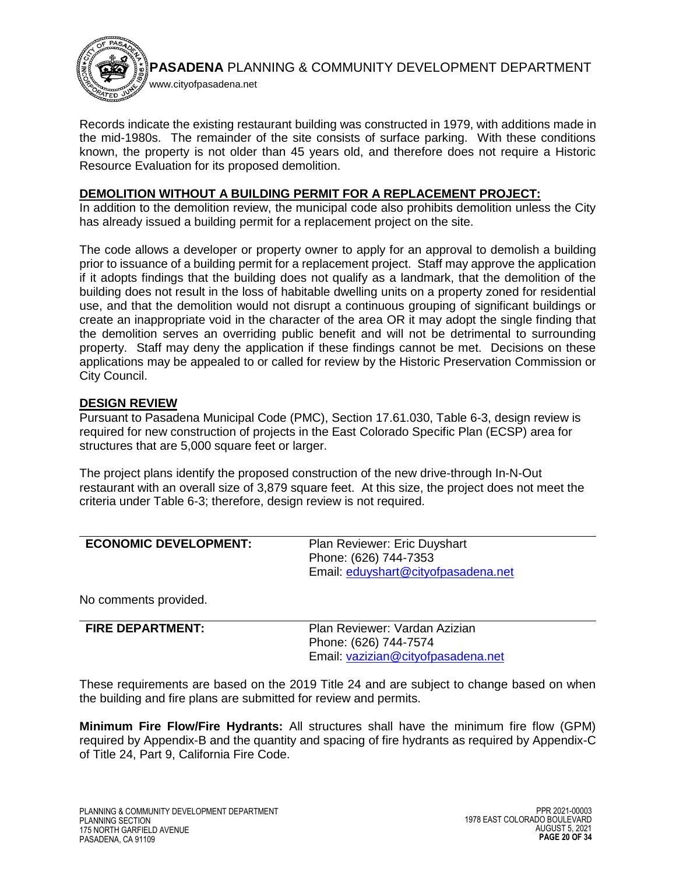

Records indicate the existing restaurant building was constructed in 1979, with additions made in the mid-1980s. The remainder of the site consists of surface parking. With these conditions known, the property is not older than 45 years old, and therefore does not require a Historic Resource Evaluation for its proposed demolition.

## **DEMOLITION WITHOUT A BUILDING PERMIT FOR A REPLACEMENT PROJECT:**

In addition to the demolition review, the municipal code also prohibits demolition unless the City has already issued a building permit for a replacement project on the site.

The code allows a developer or property owner to apply for an approval to demolish a building prior to issuance of a building permit for a replacement project. Staff may approve the application if it adopts findings that the building does not qualify as a landmark, that the demolition of the building does not result in the loss of habitable dwelling units on a property zoned for residential use, and that the demolition would not disrupt a continuous grouping of significant buildings or create an inappropriate void in the character of the area OR it may adopt the single finding that the demolition serves an overriding public benefit and will not be detrimental to surrounding property. Staff may deny the application if these findings cannot be met. Decisions on these applications may be appealed to or called for review by the Historic Preservation Commission or City Council.

## **DESIGN REVIEW**

Pursuant to Pasadena Municipal Code (PMC), Section 17.61.030, Table 6-3, design review is required for new construction of projects in the East Colorado Specific Plan (ECSP) area for structures that are 5,000 square feet or larger.

The project plans identify the proposed construction of the new drive-through In-N-Out restaurant with an overall size of 3,879 square feet. At this size, the project does not meet the criteria under Table 6-3; therefore, design review is not required.

<span id="page-19-0"></span>

| <b>ECONOMIC DEVELOPMENT:</b> | Plan Reviewer: Eric Duyshart        |
|------------------------------|-------------------------------------|
|                              | Phone: (626) 744-7353               |
|                              | Email: eduyshart@cityofpasadena.net |
|                              |                                     |

No comments provided.

<span id="page-19-1"></span>

| <b>FIRE DEPARTMENT:</b> | Plan Reviewer: Vardan Azizian<br>Phone: (626) 744-7574 |
|-------------------------|--------------------------------------------------------|
|                         | Email: vazizian@cityofpasadena.net                     |

These requirements are based on the 2019 Title 24 and are subject to change based on when the building and fire plans are submitted for review and permits.

**Minimum Fire Flow/Fire Hydrants:** All structures shall have the minimum fire flow (GPM) required by Appendix-B and the quantity and spacing of fire hydrants as required by Appendix-C of Title 24, Part 9, California Fire Code.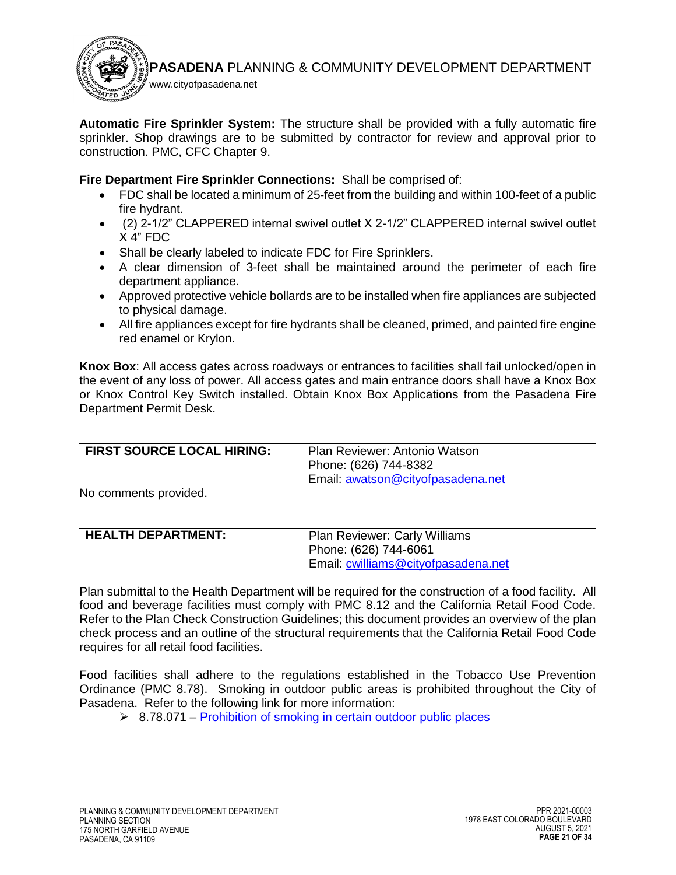

**Automatic Fire Sprinkler System:** The structure shall be provided with a fully automatic fire sprinkler. Shop drawings are to be submitted by contractor for review and approval prior to construction. PMC, CFC Chapter 9.

**Fire Department Fire Sprinkler Connections:** Shall be comprised of:

- FDC shall be located a minimum of 25-feet from the building and within 100-feet of a public fire hydrant.
- (2) 2-1/2" CLAPPERED internal swivel outlet X 2-1/2" CLAPPERED internal swivel outlet X 4" FDC
- Shall be clearly labeled to indicate FDC for Fire Sprinklers.
- A clear dimension of 3-feet shall be maintained around the perimeter of each fire department appliance.
- Approved protective vehicle bollards are to be installed when fire appliances are subjected to physical damage.
- All fire appliances except for fire hydrants shall be cleaned, primed, and painted fire engine red enamel or Krylon.

**Knox Box**: All access gates across roadways or entrances to facilities shall fail unlocked/open in the event of any loss of power. All access gates and main entrance doors shall have a Knox Box or Knox Control Key Switch installed. Obtain Knox Box Applications from the Pasadena Fire Department Permit Desk.

<span id="page-20-0"></span>

| <b>FIRST SOURCE LOCAL HIRING:</b> | Plan Reviewer: Antonio Watson     |
|-----------------------------------|-----------------------------------|
|                                   | Phone: (626) 744-8382             |
|                                   | Email: awatson@cityofpasadena.net |
| No comments provided.             |                                   |
|                                   |                                   |
|                                   |                                   |

<span id="page-20-1"></span>

| <b>HEALTH DEPARTMENT:</b> | <b>Plan Reviewer: Carly Williams</b> |
|---------------------------|--------------------------------------|
|                           | Phone: (626) 744-6061                |
|                           | Email: cwilliams@cityofpasadena.net  |

Plan submittal to the Health Department will be required for the construction of a food facility. All food and beverage facilities must comply with PMC 8.12 and the California Retail Food Code. Refer to the Plan Check Construction Guidelines; this document provides an overview of the plan check process and an outline of the structural requirements that the California Retail Food Code requires for all retail food facilities.

Food facilities shall adhere to the regulations established in the Tobacco Use Prevention Ordinance (PMC 8.78). Smoking in outdoor public areas is prohibited throughout the City of Pasadena. Refer to the following link for more information:

 $\geq$  8.78.071 – Prohibition of smoking in certain outdoor public places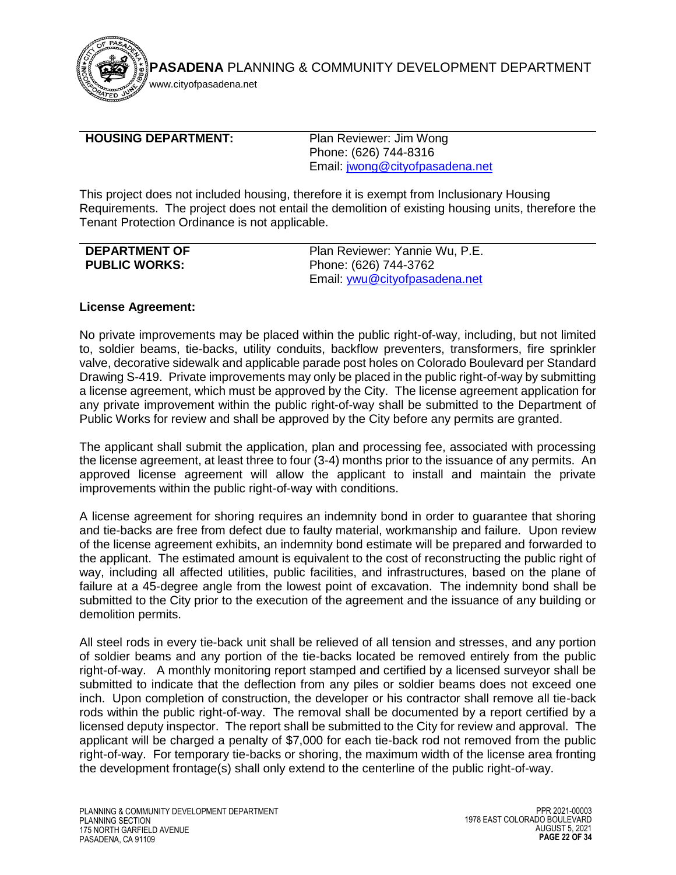

www.cityofpasadena.net

#### <span id="page-21-0"></span>**HOUSING DEPARTMENT:** Plan Reviewer: Jim Wong

Phone: (626) 744-8316 Email: [jwong@cityofpasadena.net](mailto:jwong@cityofpasadena.net)

This project does not included housing, therefore it is exempt from Inclusionary Housing Requirements. The project does not entail the demolition of existing housing units, therefore the Tenant Protection Ordinance is not applicable.

<span id="page-21-1"></span>

| <b>DEPARTMENT OF</b> | Plan Reviewer: Yannie Wu, P.E.       |
|----------------------|--------------------------------------|
| <b>PUBLIC WORKS:</b> | Phone: (626) 744-3762                |
|                      | Email: <i>ywu@cityofpasadena.net</i> |

## **License Agreement:**

No private improvements may be placed within the public right-of-way, including, but not limited to, soldier beams, tie-backs, utility conduits, backflow preventers, transformers, fire sprinkler valve, decorative sidewalk and applicable parade post holes on Colorado Boulevard per Standard Drawing S-419. Private improvements may only be placed in the public right-of-way by submitting a license agreement, which must be approved by the City. The license agreement application for any private improvement within the public right-of-way shall be submitted to the Department of Public Works for review and shall be approved by the City before any permits are granted.

The applicant shall submit the application, plan and processing fee, associated with processing the license agreement, at least three to four (3-4) months prior to the issuance of any permits. An approved license agreement will allow the applicant to install and maintain the private improvements within the public right-of-way with conditions.

A license agreement for shoring requires an indemnity bond in order to guarantee that shoring and tie-backs are free from defect due to faulty material, workmanship and failure. Upon review of the license agreement exhibits, an indemnity bond estimate will be prepared and forwarded to the applicant. The estimated amount is equivalent to the cost of reconstructing the public right of way, including all affected utilities, public facilities, and infrastructures, based on the plane of failure at a 45-degree angle from the lowest point of excavation. The indemnity bond shall be submitted to the City prior to the execution of the agreement and the issuance of any building or demolition permits.

All steel rods in every tie-back unit shall be relieved of all tension and stresses, and any portion of soldier beams and any portion of the tie-backs located be removed entirely from the public right-of-way. A monthly monitoring report stamped and certified by a licensed surveyor shall be submitted to indicate that the deflection from any piles or soldier beams does not exceed one inch. Upon completion of construction, the developer or his contractor shall remove all tie-back rods within the public right-of-way. The removal shall be documented by a report certified by a licensed deputy inspector. The report shall be submitted to the City for review and approval. The applicant will be charged a penalty of \$7,000 for each tie-back rod not removed from the public right-of-way. For temporary tie-backs or shoring, the maximum width of the license area fronting the development frontage(s) shall only extend to the centerline of the public right-of-way.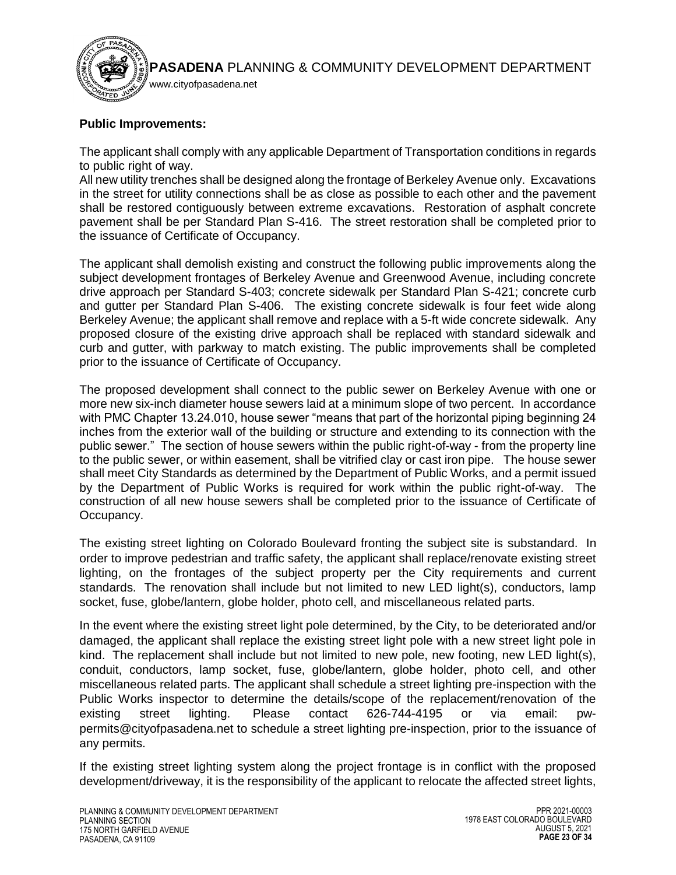

# **Public Improvements:**

The applicant shall comply with any applicable Department of Transportation conditions in regards to public right of way.

All new utility trenches shall be designed along the frontage of Berkeley Avenue only. Excavations in the street for utility connections shall be as close as possible to each other and the pavement shall be restored contiguously between extreme excavations. Restoration of asphalt concrete pavement shall be per Standard Plan S-416. The street restoration shall be completed prior to the issuance of Certificate of Occupancy.

The applicant shall demolish existing and construct the following public improvements along the subject development frontages of Berkeley Avenue and Greenwood Avenue, including concrete drive approach per Standard S-403; concrete sidewalk per Standard Plan S-421; concrete curb and gutter per Standard Plan S-406. The existing concrete sidewalk is four feet wide along Berkeley Avenue; the applicant shall remove and replace with a 5-ft wide concrete sidewalk. Any proposed closure of the existing drive approach shall be replaced with standard sidewalk and curb and gutter, with parkway to match existing. The public improvements shall be completed prior to the issuance of Certificate of Occupancy.

The proposed development shall connect to the public sewer on Berkeley Avenue with one or more new six-inch diameter house sewers laid at a minimum slope of two percent. In accordance with PMC Chapter 13.24.010, house sewer "means that part of the horizontal piping beginning 24 inches from the exterior wall of the building or structure and extending to its connection with the public sewer." The section of house sewers within the public right-of-way - from the property line to the public sewer, or within easement, shall be vitrified clay or cast iron pipe. The house sewer shall meet City Standards as determined by the Department of Public Works, and a permit issued by the Department of Public Works is required for work within the public right-of-way. The construction of all new house sewers shall be completed prior to the issuance of Certificate of Occupancy.

The existing street lighting on Colorado Boulevard fronting the subject site is substandard. In order to improve pedestrian and traffic safety, the applicant shall replace/renovate existing street lighting, on the frontages of the subject property per the City requirements and current standards. The renovation shall include but not limited to new LED light(s), conductors, lamp socket, fuse, globe/lantern, globe holder, photo cell, and miscellaneous related parts.

In the event where the existing street light pole determined, by the City, to be deteriorated and/or damaged, the applicant shall replace the existing street light pole with a new street light pole in kind. The replacement shall include but not limited to new pole, new footing, new LED light(s), conduit, conductors, lamp socket, fuse, globe/lantern, globe holder, photo cell, and other miscellaneous related parts. The applicant shall schedule a street lighting pre-inspection with the Public Works inspector to determine the details/scope of the replacement/renovation of the existing street lighting. Please contact 626-744-4195 or via email: [pw](mailto:pw-permits@cityofpasadena.net)[permits@cityofpasadena.net](mailto:pw-permits@cityofpasadena.net) to schedule a street lighting pre-inspection, prior to the issuance of any permits.

If the existing street lighting system along the project frontage is in conflict with the proposed development/driveway, it is the responsibility of the applicant to relocate the affected street lights,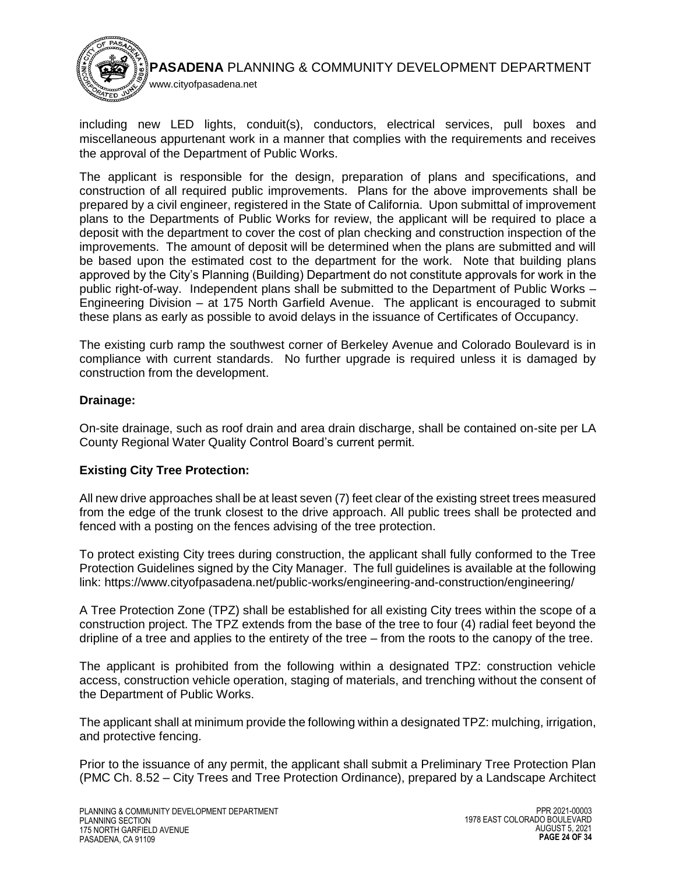

including new LED lights, conduit(s), conductors, electrical services, pull boxes and miscellaneous appurtenant work in a manner that complies with the requirements and receives the approval of the Department of Public Works.

The applicant is responsible for the design, preparation of plans and specifications, and construction of all required public improvements. Plans for the above improvements shall be prepared by a civil engineer, registered in the State of California. Upon submittal of improvement plans to the Departments of Public Works for review, the applicant will be required to place a deposit with the department to cover the cost of plan checking and construction inspection of the improvements. The amount of deposit will be determined when the plans are submitted and will be based upon the estimated cost to the department for the work. Note that building plans approved by the City's Planning (Building) Department do not constitute approvals for work in the public right-of-way. Independent plans shall be submitted to the Department of Public Works – Engineering Division – at 175 North Garfield Avenue. The applicant is encouraged to submit these plans as early as possible to avoid delays in the issuance of Certificates of Occupancy.

The existing curb ramp the southwest corner of Berkeley Avenue and Colorado Boulevard is in compliance with current standards. No further upgrade is required unless it is damaged by construction from the development.

## **Drainage:**

On-site drainage, such as roof drain and area drain discharge, shall be contained on-site per LA County Regional Water Quality Control Board's current permit.

## **Existing City Tree Protection:**

All new drive approaches shall be at least seven (7) feet clear of the existing street trees measured from the edge of the trunk closest to the drive approach. All public trees shall be protected and fenced with a posting on the fences advising of the tree protection.

To protect existing City trees during construction, the applicant shall fully conformed to the Tree Protection Guidelines signed by the City Manager. The full guidelines is available at the following link:<https://www.cityofpasadena.net/public-works/engineering-and-construction/engineering/>

A Tree Protection Zone (TPZ) shall be established for all existing City trees within the scope of a construction project. The TPZ extends from the base of the tree to four (4) radial feet beyond the dripline of a tree and applies to the entirety of the tree – from the roots to the canopy of the tree.

The applicant is prohibited from the following within a designated TPZ: construction vehicle access, construction vehicle operation, staging of materials, and trenching without the consent of the Department of Public Works.

The applicant shall at minimum provide the following within a designated TPZ: mulching, irrigation, and protective fencing.

Prior to the issuance of any permit, the applicant shall submit a Preliminary Tree Protection Plan (PMC Ch. 8.52 – City Trees and Tree Protection Ordinance), prepared by a Landscape Architect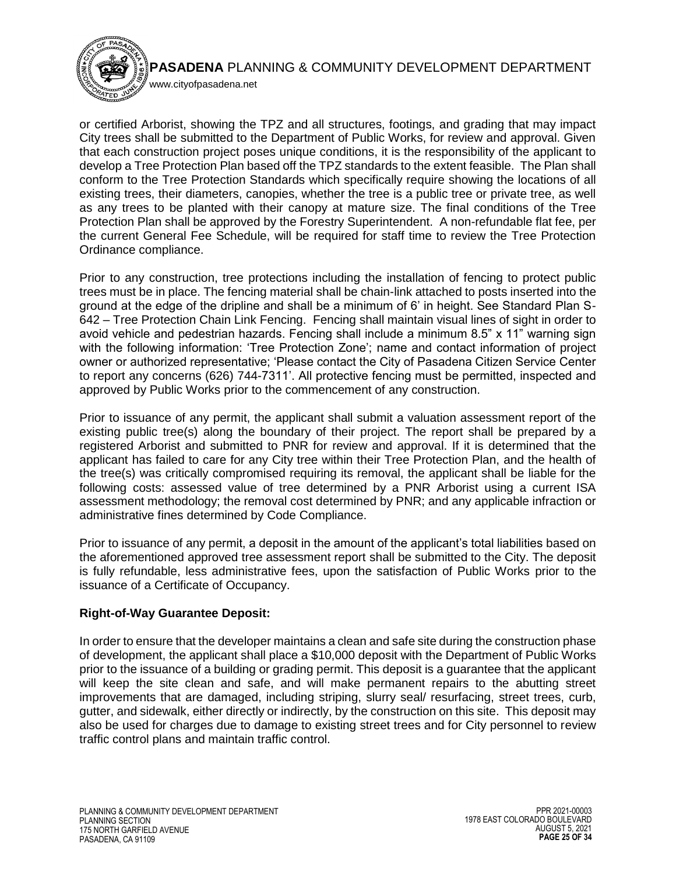

www.cityofpasadena.net

or certified Arborist, showing the TPZ and all structures, footings, and grading that may impact City trees shall be submitted to the Department of Public Works, for review and approval. Given that each construction project poses unique conditions, it is the responsibility of the applicant to develop a Tree Protection Plan based off the TPZ standards to the extent feasible. The Plan shall conform to the Tree Protection Standards which specifically require showing the locations of all existing trees, their diameters, canopies, whether the tree is a public tree or private tree, as well as any trees to be planted with their canopy at mature size. The final conditions of the Tree Protection Plan shall be approved by the Forestry Superintendent. A non-refundable flat fee, per the current General Fee Schedule, will be required for staff time to review the Tree Protection Ordinance compliance.

Prior to any construction, tree protections including the installation of fencing to protect public trees must be in place. The fencing material shall be chain-link attached to posts inserted into the ground at the edge of the dripline and shall be a minimum of 6' in height. See Standard Plan S-642 – Tree Protection Chain Link Fencing. Fencing shall maintain visual lines of sight in order to avoid vehicle and pedestrian hazards. Fencing shall include a minimum 8.5" x 11" warning sign with the following information: 'Tree Protection Zone'; name and contact information of project owner or authorized representative; 'Please contact the City of Pasadena Citizen Service Center to report any concerns (626) 744-7311'. All protective fencing must be permitted, inspected and approved by Public Works prior to the commencement of any construction.

Prior to issuance of any permit, the applicant shall submit a valuation assessment report of the existing public tree(s) along the boundary of their project. The report shall be prepared by a registered Arborist and submitted to PNR for review and approval. If it is determined that the applicant has failed to care for any City tree within their Tree Protection Plan, and the health of the tree(s) was critically compromised requiring its removal, the applicant shall be liable for the following costs: assessed value of tree determined by a PNR Arborist using a current ISA assessment methodology; the removal cost determined by PNR; and any applicable infraction or administrative fines determined by Code Compliance.

Prior to issuance of any permit, a deposit in the amount of the applicant's total liabilities based on the aforementioned approved tree assessment report shall be submitted to the City. The deposit is fully refundable, less administrative fees, upon the satisfaction of Public Works prior to the issuance of a Certificate of Occupancy.

# **Right-of-Way Guarantee Deposit:**

In order to ensure that the developer maintains a clean and safe site during the construction phase of development, the applicant shall place a \$10,000 deposit with the Department of Public Works prior to the issuance of a building or grading permit. This deposit is a guarantee that the applicant will keep the site clean and safe, and will make permanent repairs to the abutting street improvements that are damaged, including striping, slurry seal/ resurfacing, street trees, curb, gutter, and sidewalk, either directly or indirectly, by the construction on this site. This deposit may also be used for charges due to damage to existing street trees and for City personnel to review traffic control plans and maintain traffic control.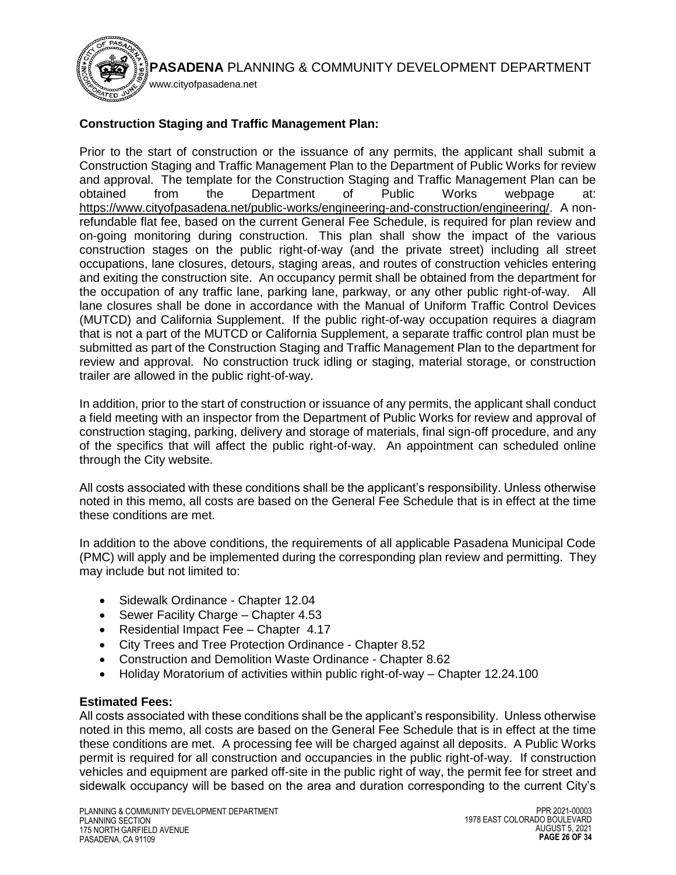

# **Construction Staging and Traffic Management Plan:**

Prior to the start of construction or the issuance of any permits, the applicant shall submit a Construction Staging and Traffic Management Plan to the Department of Public Works for review and approval. The template for the Construction Staging and Traffic Management Plan can be obtained from the Department of Public Works webpage at: [https://www.cityofpasadena.net/public-works/engineering-and-construction/engineering/.](https://www.cityofpasadena.net/public-works/engineering-and-construction/engineering/) A nonrefundable flat fee, based on the current General Fee Schedule, is required for plan review and on-going monitoring during construction. This plan shall show the impact of the various construction stages on the public right-of-way (and the private street) including all street occupations, lane closures, detours, staging areas, and routes of construction vehicles entering and exiting the construction site. An occupancy permit shall be obtained from the department for the occupation of any traffic lane, parking lane, parkway, or any other public right-of-way. All lane closures shall be done in accordance with the Manual of Uniform Traffic Control Devices (MUTCD) and California Supplement. If the public right-of-way occupation requires a diagram that is not a part of the MUTCD or California Supplement, a separate traffic control plan must be submitted as part of the Construction Staging and Traffic Management Plan to the department for review and approval. No construction truck idling or staging, material storage, or construction trailer are allowed in the public right-of-way.

In addition, prior to the start of construction or issuance of any permits, the applicant shall conduct a field meeting with an inspector from the Department of Public Works for review and approval of construction staging, parking, delivery and storage of materials, final sign-off procedure, and any of the specifics that will affect the public right-of-way. An appointment can scheduled online through the City website.

All costs associated with these conditions shall be the applicant's responsibility. Unless otherwise noted in this memo, all costs are based on the General Fee Schedule that is in effect at the time these conditions are met.

In addition to the above conditions, the requirements of all applicable Pasadena Municipal Code (PMC) will apply and be implemented during the corresponding plan review and permitting. They may include but not limited to:

- Sidewalk Ordinance Chapter 12.04
- Sewer Facility Charge Chapter 4.53
- Residential Impact Fee Chapter 4.17
- City Trees and Tree Protection Ordinance Chapter 8.52
- Construction and Demolition Waste Ordinance Chapter 8.62
- Holiday Moratorium of activities within public right-of-way Chapter 12.24.100

# **Estimated Fees:**

All costs associated with these conditions shall be the applicant's responsibility. Unless otherwise noted in this memo, all costs are based on the General Fee Schedule that is in effect at the time these conditions are met. A processing fee will be charged against all deposits. A Public Works permit is required for all construction and occupancies in the public right-of-way. If construction vehicles and equipment are parked off-site in the public right of way, the permit fee for street and sidewalk occupancy will be based on the area and duration corresponding to the current City's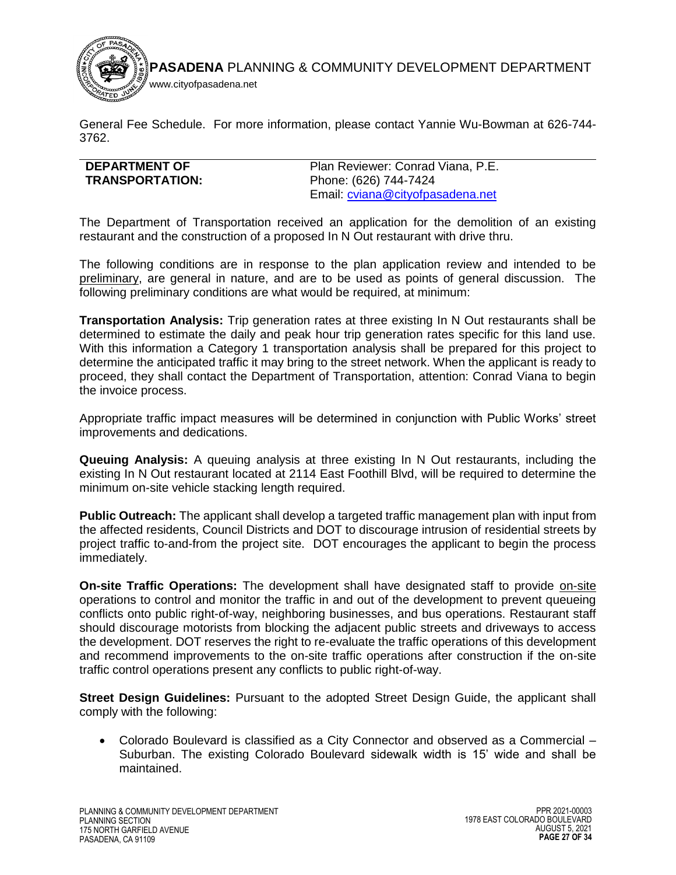

General Fee Schedule. For more information, please contact Yannie Wu-Bowman at 626-744- 3762.

<span id="page-26-0"></span>

| Plan Reviewer: Conrad Viana, P.E. |
|-----------------------------------|
| Phone: (626) 744-7424             |
| Email: cviana@cityofpasadena.net  |
|                                   |

The Department of Transportation received an application for the demolition of an existing restaurant and the construction of a proposed In N Out restaurant with drive thru.

The following conditions are in response to the plan application review and intended to be preliminary, are general in nature, and are to be used as points of general discussion. The following preliminary conditions are what would be required, at minimum:

**Transportation Analysis:** Trip generation rates at three existing In N Out restaurants shall be determined to estimate the daily and peak hour trip generation rates specific for this land use. With this information a Category 1 transportation analysis shall be prepared for this project to determine the anticipated traffic it may bring to the street network. When the applicant is ready to proceed, they shall contact the Department of Transportation, attention: Conrad Viana to begin the invoice process.

Appropriate traffic impact measures will be determined in conjunction with Public Works' street improvements and dedications.

**Queuing Analysis:** A queuing analysis at three existing In N Out restaurants, including the existing In N Out restaurant located at 2114 East Foothill Blvd, will be required to determine the minimum on-site vehicle stacking length required.

**Public Outreach:** The applicant shall develop a targeted traffic management plan with input from the affected residents, Council Districts and DOT to discourage intrusion of residential streets by project traffic to-and-from the project site. DOT encourages the applicant to begin the process immediately.

**On-site Traffic Operations:** The development shall have designated staff to provide on-site operations to control and monitor the traffic in and out of the development to prevent queueing conflicts onto public right-of-way, neighboring businesses, and bus operations. Restaurant staff should discourage motorists from blocking the adjacent public streets and driveways to access the development. DOT reserves the right to re-evaluate the traffic operations of this development and recommend improvements to the on-site traffic operations after construction if the on-site traffic control operations present any conflicts to public right-of-way.

**Street Design Guidelines:** Pursuant to the adopted Street Design Guide, the applicant shall comply with the following:

 Colorado Boulevard is classified as a City Connector and observed as a Commercial – Suburban. The existing Colorado Boulevard sidewalk width is 15' wide and shall be maintained.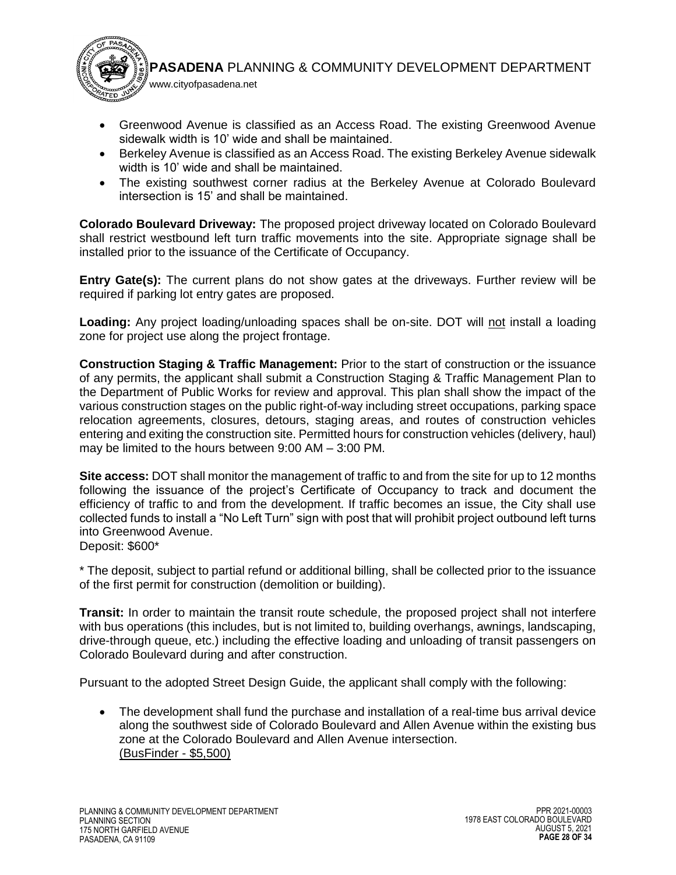

- Greenwood Avenue is classified as an Access Road. The existing Greenwood Avenue sidewalk width is 10' wide and shall be maintained.
- Berkeley Avenue is classified as an Access Road. The existing Berkeley Avenue sidewalk width is 10' wide and shall be maintained.
- The existing southwest corner radius at the Berkeley Avenue at Colorado Boulevard intersection is 15' and shall be maintained.

**Colorado Boulevard Driveway:** The proposed project driveway located on Colorado Boulevard shall restrict westbound left turn traffic movements into the site. Appropriate signage shall be installed prior to the issuance of the Certificate of Occupancy.

**Entry Gate(s):** The current plans do not show gates at the driveways. Further review will be required if parking lot entry gates are proposed.

Loading: Any project loading/unloading spaces shall be on-site. DOT will not install a loading zone for project use along the project frontage.

**Construction Staging & Traffic Management:** Prior to the start of construction or the issuance of any permits, the applicant shall submit a Construction Staging & Traffic Management Plan to the Department of Public Works for review and approval. This plan shall show the impact of the various construction stages on the public right-of-way including street occupations, parking space relocation agreements, closures, detours, staging areas, and routes of construction vehicles entering and exiting the construction site. Permitted hours for construction vehicles (delivery, haul) may be limited to the hours between 9:00 AM – 3:00 PM.

**Site access:** DOT shall monitor the management of traffic to and from the site for up to 12 months following the issuance of the project's Certificate of Occupancy to track and document the efficiency of traffic to and from the development. If traffic becomes an issue, the City shall use collected funds to install a "No Left Turn" sign with post that will prohibit project outbound left turns into Greenwood Avenue.

Deposit: \$600\*

\* The deposit, subject to partial refund or additional billing, shall be collected prior to the issuance of the first permit for construction (demolition or building).

**Transit:** In order to maintain the transit route schedule, the proposed project shall not interfere with bus operations (this includes, but is not limited to, building overhangs, awnings, landscaping, drive-through queue, etc.) including the effective loading and unloading of transit passengers on Colorado Boulevard during and after construction.

Pursuant to the adopted Street Design Guide, the applicant shall comply with the following:

 The development shall fund the purchase and installation of a real-time bus arrival device along the southwest side of Colorado Boulevard and Allen Avenue within the existing bus zone at the Colorado Boulevard and Allen Avenue intersection. (BusFinder - \$5,500)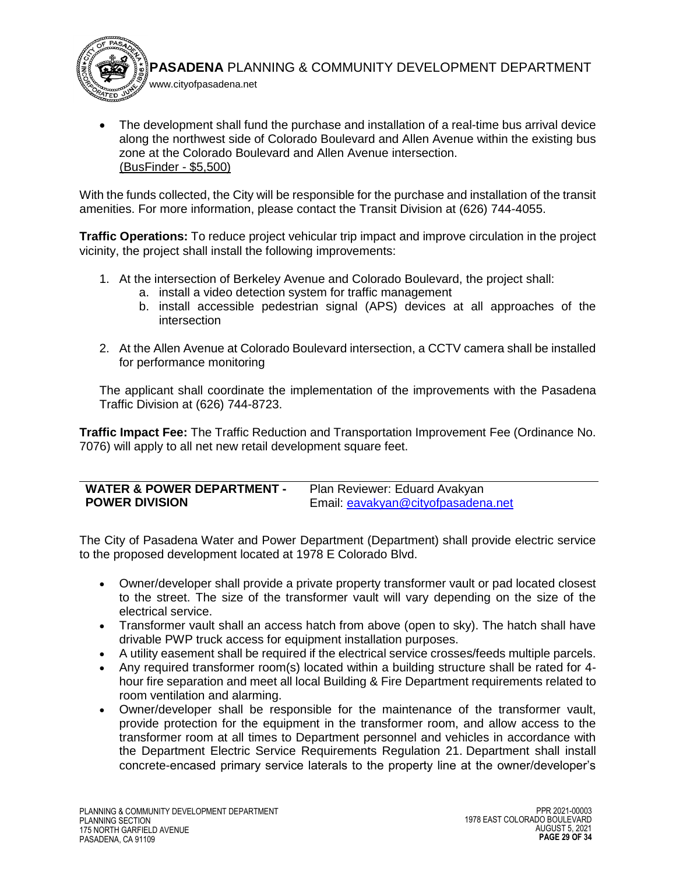

 The development shall fund the purchase and installation of a real-time bus arrival device along the northwest side of Colorado Boulevard and Allen Avenue within the existing bus zone at the Colorado Boulevard and Allen Avenue intersection. (BusFinder - \$5,500)

With the funds collected, the City will be responsible for the purchase and installation of the transit amenities. For more information, please contact the Transit Division at (626) 744-4055.

**Traffic Operations:** To reduce project vehicular trip impact and improve circulation in the project vicinity, the project shall install the following improvements:

- 1. At the intersection of Berkeley Avenue and Colorado Boulevard, the project shall:
	- a. install a video detection system for traffic management
	- b. install accessible pedestrian signal (APS) devices at all approaches of the intersection
- 2. At the Allen Avenue at Colorado Boulevard intersection, a CCTV camera shall be installed for performance monitoring

The applicant shall coordinate the implementation of the improvements with the Pasadena Traffic Division at (626) 744-8723.

**Traffic Impact Fee:** The Traffic Reduction and Transportation Improvement Fee (Ordinance No. 7076) will apply to all net new retail development square feet.

<span id="page-28-0"></span>

| <b>WATER &amp; POWER DEPARTMENT -</b> | Plan Reviewer: Eduard Avakyan      |
|---------------------------------------|------------------------------------|
| <b>POWER DIVISION</b>                 | Email: eavakyan@cityofpasadena.net |

The City of Pasadena Water and Power Department (Department) shall provide electric service to the proposed development located at 1978 E Colorado Blvd.

- Owner/developer shall provide a private property transformer vault or pad located closest to the street. The size of the transformer vault will vary depending on the size of the electrical service.
- Transformer vault shall an access hatch from above (open to sky). The hatch shall have drivable PWP truck access for equipment installation purposes.
- A utility easement shall be required if the electrical service crosses/feeds multiple parcels.
- Any required transformer room(s) located within a building structure shall be rated for 4 hour fire separation and meet all local Building & Fire Department requirements related to room ventilation and alarming.
- Owner/developer shall be responsible for the maintenance of the transformer vault, provide protection for the equipment in the transformer room, and allow access to the transformer room at all times to Department personnel and vehicles in accordance with the Department Electric Service Requirements Regulation 21. Department shall install concrete-encased primary service laterals to the property line at the owner/developer's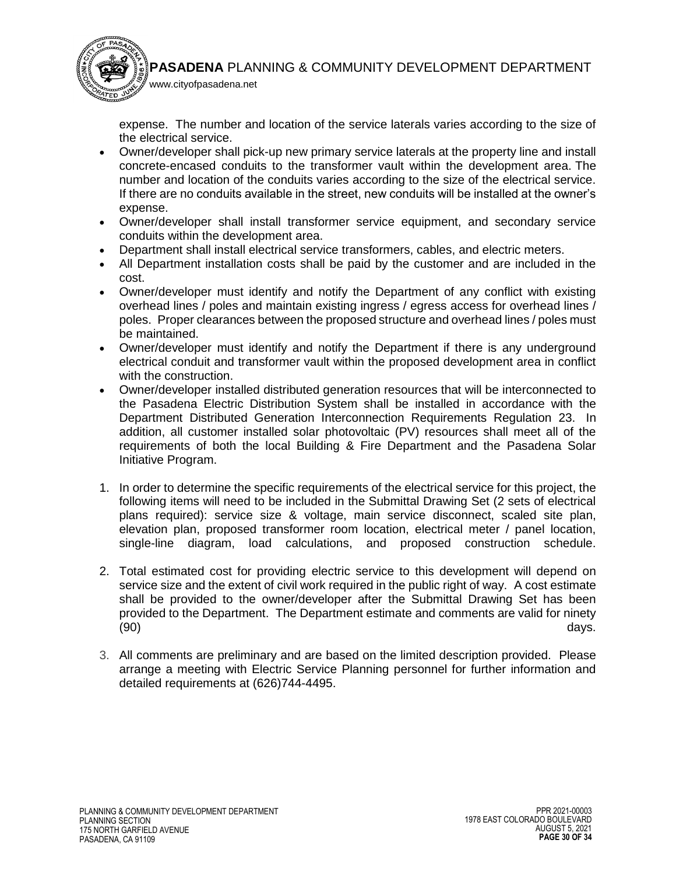

expense. The number and location of the service laterals varies according to the size of the electrical service.

- Owner/developer shall pick-up new primary service laterals at the property line and install concrete-encased conduits to the transformer vault within the development area. The number and location of the conduits varies according to the size of the electrical service. If there are no conduits available in the street, new conduits will be installed at the owner's expense.
- Owner/developer shall install transformer service equipment, and secondary service conduits within the development area.
- Department shall install electrical service transformers, cables, and electric meters.

www.cityofpasadena.net

- All Department installation costs shall be paid by the customer and are included in the cost.
- Owner/developer must identify and notify the Department of any conflict with existing overhead lines / poles and maintain existing ingress / egress access for overhead lines / poles. Proper clearances between the proposed structure and overhead lines / poles must be maintained.
- Owner/developer must identify and notify the Department if there is any underground electrical conduit and transformer vault within the proposed development area in conflict with the construction.
- Owner/developer installed distributed generation resources that will be interconnected to the Pasadena Electric Distribution System shall be installed in accordance with the Department Distributed Generation Interconnection Requirements Regulation 23. In addition, all customer installed solar photovoltaic (PV) resources shall meet all of the requirements of both the local Building & Fire Department and the Pasadena Solar Initiative Program.
- 1. In order to determine the specific requirements of the electrical service for this project, the following items will need to be included in the Submittal Drawing Set (2 sets of electrical plans required): service size & voltage, main service disconnect, scaled site plan, elevation plan, proposed transformer room location, electrical meter / panel location, single-line diagram, load calculations, and proposed construction schedule.
- 2. Total estimated cost for providing electric service to this development will depend on service size and the extent of civil work required in the public right of way. A cost estimate shall be provided to the owner/developer after the Submittal Drawing Set has been provided to the Department. The Department estimate and comments are valid for ninety (90) days.
- 3. All comments are preliminary and are based on the limited description provided. Please arrange a meeting with Electric Service Planning personnel for further information and detailed requirements at (626)744-4495.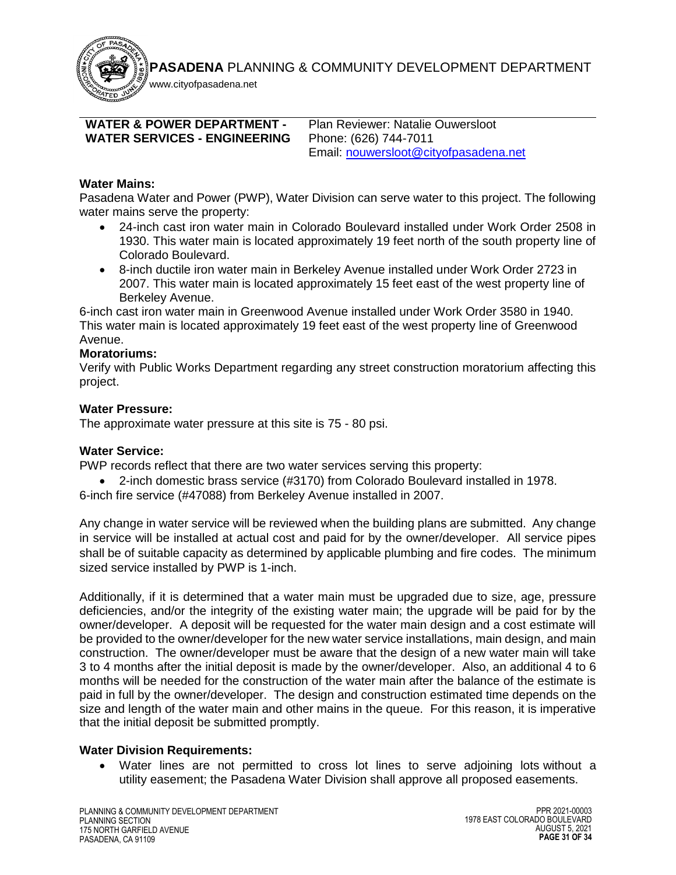www.cityofpasadena.net

# <span id="page-30-0"></span>**WATER & POWER DEPARTMENT - WATER SERVICES - ENGINEERING**

Plan Reviewer: Natalie Ouwersloot Phone: (626) 744-7011 Email: [nouwersloot@cityofpasadena.net](mailto:nouwersloot@cityofpasadena.net)

# **Water Mains:**

Pasadena Water and Power (PWP), Water Division can serve water to this project. The following water mains serve the property:

- 24-inch cast iron water main in Colorado Boulevard installed under Work Order 2508 in 1930. This water main is located approximately 19 feet north of the south property line of Colorado Boulevard.
- 8-inch ductile iron water main in Berkeley Avenue installed under Work Order 2723 in 2007. This water main is located approximately 15 feet east of the west property line of Berkeley Avenue.

6-inch cast iron water main in Greenwood Avenue installed under Work Order 3580 in 1940. This water main is located approximately 19 feet east of the west property line of Greenwood Avenue.

# **Moratoriums:**

Verify with Public Works Department regarding any street construction moratorium affecting this project.

# **Water Pressure:**

The approximate water pressure at this site is 75 - 80 psi.

# **Water Service:**

PWP records reflect that there are two water services serving this property:

 2-inch domestic brass service (#3170) from Colorado Boulevard installed in 1978. 6-inch fire service (#47088) from Berkeley Avenue installed in 2007.

Any change in water service will be reviewed when the building plans are submitted. Any change in service will be installed at actual cost and paid for by the owner/developer. All service pipes shall be of suitable capacity as determined by applicable plumbing and fire codes. The minimum sized service installed by PWP is 1-inch.

Additionally, if it is determined that a water main must be upgraded due to size, age, pressure deficiencies, and/or the integrity of the existing water main; the upgrade will be paid for by the owner/developer. A deposit will be requested for the water main design and a cost estimate will be provided to the owner/developer for the new water service installations, main design, and main construction. The owner/developer must be aware that the design of a new water main will take 3 to 4 months after the initial deposit is made by the owner/developer. Also, an additional 4 to 6 months will be needed for the construction of the water main after the balance of the estimate is paid in full by the owner/developer. The design and construction estimated time depends on the size and length of the water main and other mains in the queue. For this reason, it is imperative that the initial deposit be submitted promptly.

# **Water Division Requirements:**

 Water lines are not permitted to cross lot lines to serve adjoining lots without a utility easement; the Pasadena Water Division shall approve all proposed easements.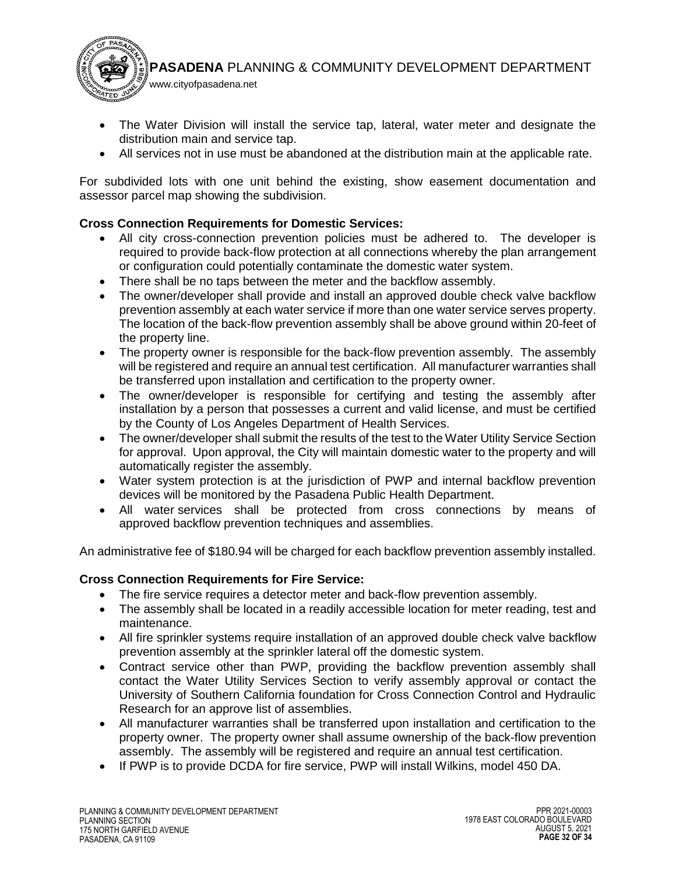www.cityofpasadena.net

- The Water Division will install the service tap, lateral, water meter and designate the distribution main and service tap.
- All services not in use must be abandoned at the distribution main at the applicable rate.

For subdivided lots with one unit behind the existing, show easement documentation and assessor parcel map showing the subdivision.

# **Cross Connection Requirements for Domestic Services:**

- All city cross-connection prevention policies must be adhered to. The developer is required to provide back-flow protection at all connections whereby the plan arrangement or configuration could potentially contaminate the domestic water system.
- There shall be no taps between the meter and the backflow assembly.
- The owner/developer shall provide and install an approved double check valve backflow prevention assembly at each water service if more than one water service serves property. The location of the back-flow prevention assembly shall be above ground within 20-feet of the property line.
- The property owner is responsible for the back-flow prevention assembly. The assembly will be registered and require an annual test certification. All manufacturer warranties shall be transferred upon installation and certification to the property owner.
- The owner/developer is responsible for certifying and testing the assembly after installation by a person that possesses a current and valid license, and must be certified by the County of Los Angeles Department of Health Services.
- The owner/developer shall submit the results of the test to the Water Utility Service Section for approval. Upon approval, the City will maintain domestic water to the property and will automatically register the assembly.
- Water system protection is at the jurisdiction of PWP and internal backflow prevention devices will be monitored by the Pasadena Public Health Department.
- All water services shall be protected from cross connections by means of approved backflow prevention techniques and assemblies.

An administrative fee of \$180.94 will be charged for each backflow prevention assembly installed.

# **Cross Connection Requirements for Fire Service:**

- The fire service requires a detector meter and back-flow prevention assembly.
- The assembly shall be located in a readily accessible location for meter reading, test and maintenance.
- All fire sprinkler systems require installation of an approved double check valve backflow prevention assembly at the sprinkler lateral off the domestic system.
- Contract service other than PWP, providing the backflow prevention assembly shall contact the Water Utility Services Section to verify assembly approval or contact the University of Southern California foundation for Cross Connection Control and Hydraulic Research for an approve list of assemblies.
- All manufacturer warranties shall be transferred upon installation and certification to the property owner. The property owner shall assume ownership of the back-flow prevention assembly. The assembly will be registered and require an annual test certification.
- If PWP is to provide DCDA for fire service, PWP will install Wilkins, model 450 DA.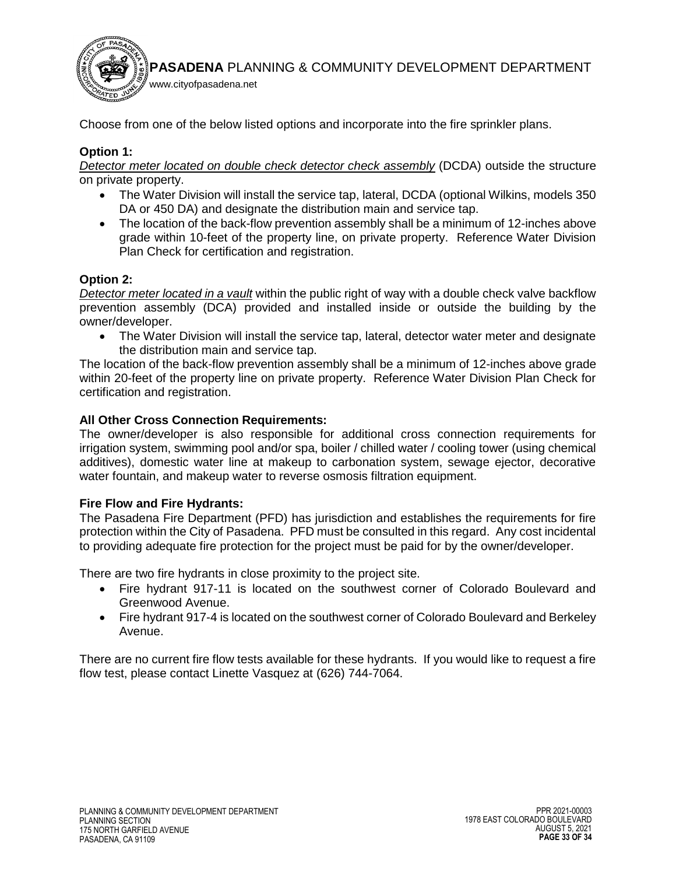

Choose from one of the below listed options and incorporate into the fire sprinkler plans.

# **Option 1:**

*Detector meter located on double check detector check assembly* (DCDA) outside the structure on private property.

- The Water Division will install the service tap, lateral, DCDA (optional Wilkins, models 350 DA or 450 DA) and designate the distribution main and service tap.
- The location of the back-flow prevention assembly shall be a minimum of 12-inches above grade within 10-feet of the property line, on private property. Reference Water Division Plan Check for certification and registration.

# **Option 2:**

*Detector meter located in a vault* within the public right of way with a double check valve backflow prevention assembly (DCA) provided and installed inside or outside the building by the owner/developer.

 The Water Division will install the service tap, lateral, detector water meter and designate the distribution main and service tap.

The location of the back-flow prevention assembly shall be a minimum of 12-inches above grade within 20-feet of the property line on private property. Reference Water Division Plan Check for certification and registration.

## **All Other Cross Connection Requirements:**

The owner/developer is also responsible for additional cross connection requirements for irrigation system, swimming pool and/or spa, boiler / chilled water / cooling tower (using chemical additives), domestic water line at makeup to carbonation system, sewage ejector, decorative water fountain, and makeup water to reverse osmosis filtration equipment.

# **Fire Flow and Fire Hydrants:**

The Pasadena Fire Department (PFD) has jurisdiction and establishes the requirements for fire protection within the City of Pasadena. PFD must be consulted in this regard. Any cost incidental to providing adequate fire protection for the project must be paid for by the owner/developer.

There are two fire hydrants in close proximity to the project site.

- Fire hydrant 917-11 is located on the southwest corner of Colorado Boulevard and Greenwood Avenue.
- Fire hydrant 917-4 is located on the southwest corner of Colorado Boulevard and Berkeley Avenue.

There are no current fire flow tests available for these hydrants. If you would like to request a fire flow test, please contact Linette Vasquez at (626) 744-7064.